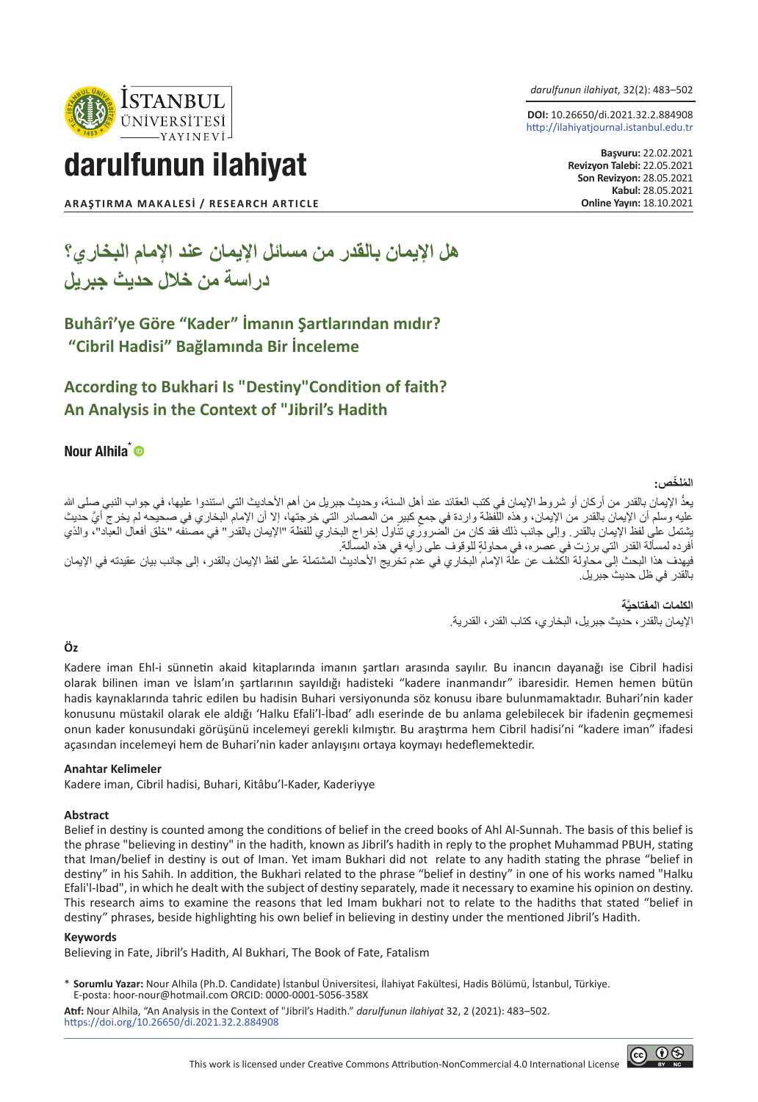*darulfunun ilahiyat,* 32(2): 483–502

**DOI:** 10.26650/di.2021.32.2.884908 http://ilahiyatjournal.istanbul.edu.tr

> **Başvuru:** 22.02.2021 **Revizyon Talebi:** 22.05.2021 **Son Revizyon:** 28.05.2021 **Kabul: 28.05.2021<br><b>Online Yayın: 18.10.2021**



darulfunun ilahiyat

**ARAŞTIRMA MAKALESİ / RESEARCH ARTICLE** 

# **هل اإليمان بالقدر من مسائل اإليمان عند اإلمام البخاري؟ دراسة من خالل حديث جبريل**

### **Buhârî'ye Göre "Kader" İmanın Şartlarından mıdır? "Cibril Hadisi" Bağlamında Bir İnceleme**

### **According to Bukhari Is "Destiny"Condition of faith? An Analysis in the Context of "Jibril's Hadith**

### Nour Alhila<sup>\*</sup>

#### **الم ّ لخص: ُ**

يعدُّ الإيمان بالقدر من أركان أو شروط الإيمان في كتب العقائد عند أهل السنة، وحديث جبريل من أهم الأحاديث التي استندوا عليها، في جواب النبي صلى الله عليه وسلم ان الإيمان بالقدر من الإيمان، وهذه اللفظة واردة في جمع كبير من المصادر التي خرجتها، إلا ان الإمام البخاري في صحيحه لم يخرج أي حديث يشتمل على لفظ الإيمان بالقدر . وإلى جانب ذلك فقد كان من الضروري تناول إخراج البخاري للفظة "الإيمان بالقدر" في مصنفه "خلق أفعال العباد"، والذي ٍ أفرده لمسألة القدر التي برزت في عصره، في محاولة للوقوف على رأيه في هذه المسألة. فيهدف هذا البحث إلى محاولة الكشف عن علة اإلمام البخاري في عدم تخريج األحاديث المشتملة على لفظ اإليمان بالقدر، إلى جانب بيان عقيدته في اإليمان بالقدر في ظل حديث جبريل.

> **َّة الكلمات المفتاحي** اإليمان بالقدر، حديث جبريل، البخاري، كتاب القدر، القدرية.

#### **Öz**

Kadere iman Ehl-i sünnetin akaid kitaplarında imanın şartları arasında sayılır. Bu inancın dayanağı ise Cibril hadisi olarak bilinen iman ve İslam'ın şartlarının sayıldığı hadisteki "kadere inanmandır" ibaresidir. Hemen hemen bütün hadis kaynaklarında tahric edilen bu hadisin Buhari versiyonunda söz konusu ibare bulunmamaktadır. Buhari'nin kader konusunu müstakil olarak ele aldığı 'Halku Efali'l-İbad' adlı eserinde de bu anlama gelebilecek bir ifadenin geçmemesi onun kader konusundaki görüşünü incelemeyi gerekli kılmıştır. Bu araştırma hem Cibril hadisi'ni "kadere iman" ifadesi açasından incelemeyi hem de Buhari'nin kader anlayışını ortaya koymayı hedeflemektedir.

#### **Anahtar Kelimeler**

Kadere iman, Cibril hadisi, Buhari, Kitâbu'l-Kader, Kaderiyye

#### **Abstract**

Belief in destiny is counted among the conditions of belief in the creed books of Ahl Al-Sunnah. The basis of this belief is the phrase "believing in destiny" in the hadith, known as Jibril's hadith in reply to the prophet Muhammad PBUH, stating that Iman/belief in destiny is out of Iman. Yet imam Bukhari did not relate to any hadith stating the phrase "belief in destiny" in his Sahih. In addition, the Bukhari related to the phrase "belief in destiny" in one of his works named "Halku Efali'l-Ibad", in which he dealt with the subject of destiny separately, made it necessary to examine his opinion on destiny. This research aims to examine the reasons that led Imam bukhari not to relate to the hadiths that stated "belief in destiny" phrases, beside highlighting his own belief in believing in destiny under the mentioned Jibril's Hadith.

#### **Keywords**

Believing in Fate, Jibril's Hadith, Al Bukhari, The Book of Fate, Fatalism

\* **Sorumlu Yazar:** Nour Alhila (Ph.D. Candidate) İstanbul Üniversitesi, İlahiyat Fakültesi, Hadis Bölümü, İstanbul, Türkiye. E-posta: hoor-nour@hotmail.com ORCID: 0000-0001-5056-358X

**Atıf:** Nour Alhila, "An Analysis in the Context of "Jibril's Hadith." *darulfunun ilahiyat* 32, 2 (2021): 483–502. https://doi.org/10.26650/di.2021.32.2.884908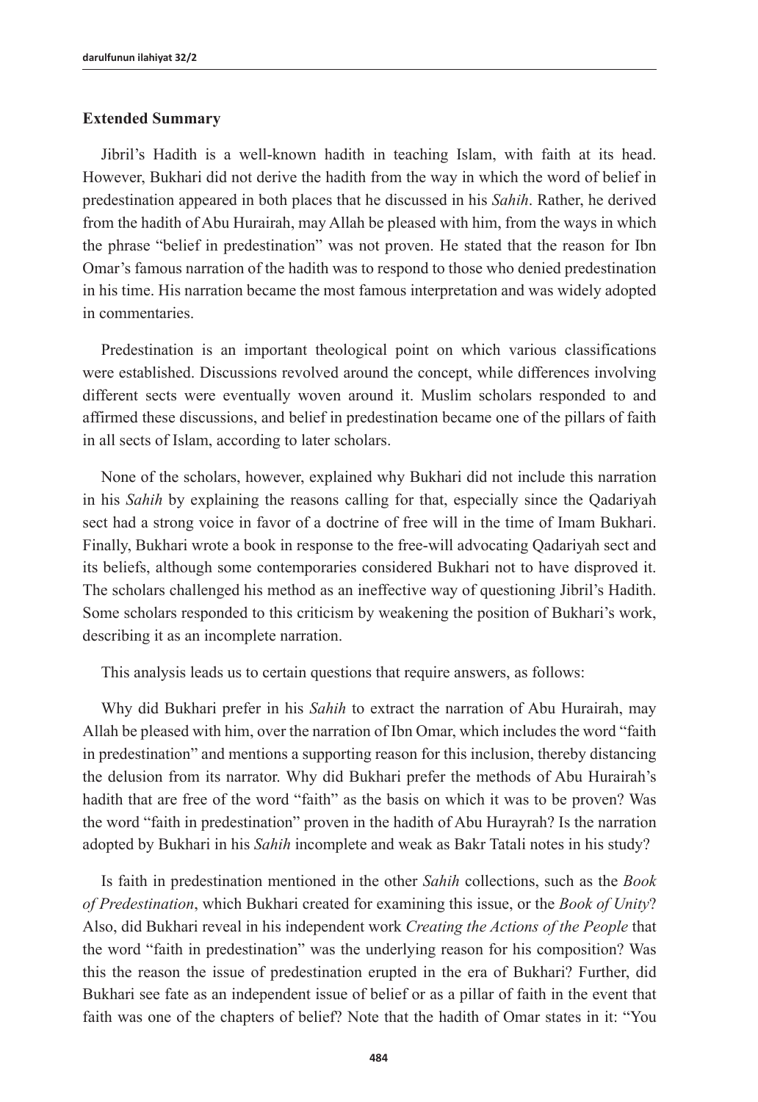#### **Extended Summary**

Jibril's Hadith is a well-known hadith in teaching Islam, with faith at its head. However, Bukhari did not derive the hadith from the way in which the word of belief in predestination appeared in both places that he discussed in his *Sahih*. Rather, he derived from the hadith of Abu Hurairah, may Allah be pleased with him, from the ways in which the phrase "belief in predestination" was not proven. He stated that the reason for Ibn Omar's famous narration of the hadith was to respond to those who denied predestination in his time. His narration became the most famous interpretation and was widely adopted in commentaries.

Predestination is an important theological point on which various classifications were established. Discussions revolved around the concept, while differences involving different sects were eventually woven around it. Muslim scholars responded to and affirmed these discussions, and belief in predestination became one of the pillars of faith in all sects of Islam, according to later scholars.

None of the scholars, however, explained why Bukhari did not include this narration in his *Sahih* by explaining the reasons calling for that, especially since the Qadariyah sect had a strong voice in favor of a doctrine of free will in the time of Imam Bukhari. Finally, Bukhari wrote a book in response to the free-will advocating Qadariyah sect and its beliefs, although some contemporaries considered Bukhari not to have disproved it. The scholars challenged his method as an ineffective way of questioning Jibril's Hadith. Some scholars responded to this criticism by weakening the position of Bukhari's work, describing it as an incomplete narration.

This analysis leads us to certain questions that require answers, as follows:

Why did Bukhari prefer in his *Sahih* to extract the narration of Abu Hurairah, may Allah be pleased with him, over the narration of Ibn Omar, which includes the word "faith in predestination" and mentions a supporting reason for this inclusion, thereby distancing the delusion from its narrator. Why did Bukhari prefer the methods of Abu Hurairah's hadith that are free of the word "faith" as the basis on which it was to be proven? Was the word "faith in predestination" proven in the hadith of Abu Hurayrah? Is the narration adopted by Bukhari in his *Sahih* incomplete and weak as Bakr Tatali notes in his study?

Is faith in predestination mentioned in the other *Sahih* collections, such as the *Book of Predestination*, which Bukhari created for examining this issue, or the *Book of Unity*? Also, did Bukhari reveal in his independent work *Creating the Actions of the People* that the word "faith in predestination" was the underlying reason for his composition? Was this the reason the issue of predestination erupted in the era of Bukhari? Further, did Bukhari see fate as an independent issue of belief or as a pillar of faith in the event that faith was one of the chapters of belief? Note that the hadith of Omar states in it: "You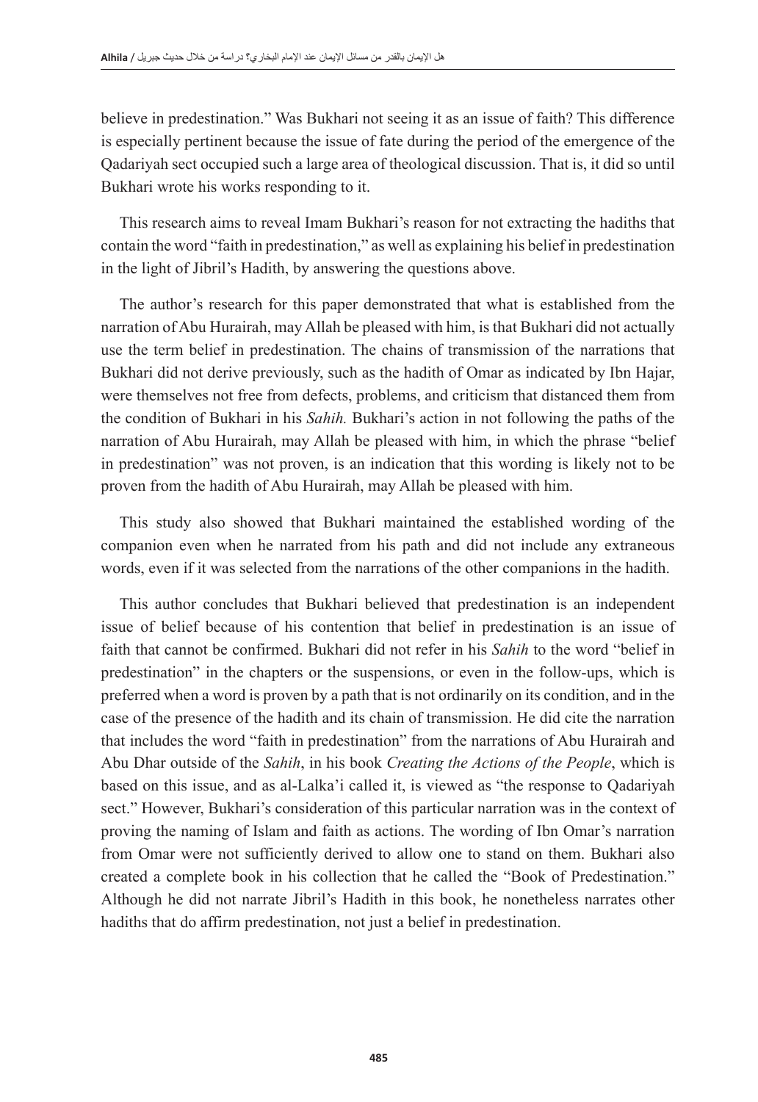believe in predestination." Was Bukhari not seeing it as an issue of faith? This difference is especially pertinent because the issue of fate during the period of the emergence of the Qadariyah sect occupied such a large area of theological discussion. That is, it did so until Bukhari wrote his works responding to it.

This research aims to reveal Imam Bukhari's reason for not extracting the hadiths that contain the word "faith in predestination," as well as explaining his belief in predestination in the light of Jibril's Hadith, by answering the questions above.

The author's research for this paper demonstrated that what is established from the narration of Abu Hurairah, may Allah be pleased with him, is that Bukhari did not actually use the term belief in predestination. The chains of transmission of the narrations that Bukhari did not derive previously, such as the hadith of Omar as indicated by Ibn Hajar, were themselves not free from defects, problems, and criticism that distanced them from the condition of Bukhari in his *Sahih.* Bukhari's action in not following the paths of the narration of Abu Hurairah, may Allah be pleased with him, in which the phrase "belief in predestination" was not proven, is an indication that this wording is likely not to be proven from the hadith of Abu Hurairah, may Allah be pleased with him.

This study also showed that Bukhari maintained the established wording of the companion even when he narrated from his path and did not include any extraneous words, even if it was selected from the narrations of the other companions in the hadith.

This author concludes that Bukhari believed that predestination is an independent issue of belief because of his contention that belief in predestination is an issue of faith that cannot be confirmed. Bukhari did not refer in his *Sahih* to the word "belief in predestination" in the chapters or the suspensions, or even in the follow-ups, which is preferred when a word is proven by a path that is not ordinarily on its condition, and in the case of the presence of the hadith and its chain of transmission. He did cite the narration that includes the word "faith in predestination" from the narrations of Abu Hurairah and Abu Dhar outside of the *Sahih*, in his book *Creating the Actions of the People*, which is based on this issue, and as al-Lalka'i called it, is viewed as "the response to Qadariyah sect." However, Bukhari's consideration of this particular narration was in the context of proving the naming of Islam and faith as actions. The wording of Ibn Omar's narration from Omar were not sufficiently derived to allow one to stand on them. Bukhari also created a complete book in his collection that he called the "Book of Predestination." Although he did not narrate Jibril's Hadith in this book, he nonetheless narrates other hadiths that do affirm predestination, not just a belief in predestination.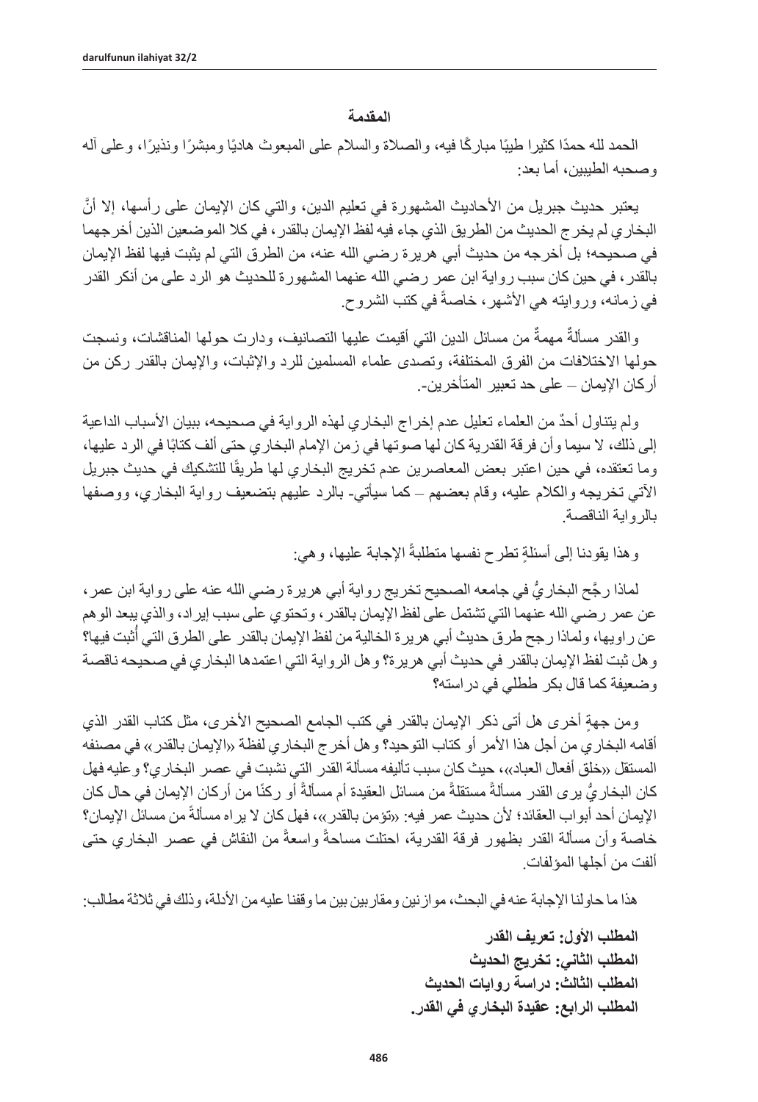### **المقدمة**

الحمد لله حمدًا كثيرا طيبًا مباركًا فيه، والصلاة والسلام على المبعوث هاديًا ومبشرًا ونذيرًا، وعلى أله وصحبه الطيبين، أما بعد:

يعتبر حديث جبريل من الأحاديث المشهورة في تعليم الدين، والتي كان الإيمان على رأسها، إلا أنَّ البخاري لم يخرج الحديث من الطريق الذي جاء فيه لفظ اإليمان بالقدر، في كال الموضعين الذين أخرجهما في صحيحه؛ بل أخرجه من حديث أبي هريرة رضي الله عنه، من الطرق التي لم يثبت فيها لفظ اإليمان بالقدر، في حين كان سبب رواية ابن عمر رضي الله عنهما المشهورة للحديث هو الرد على من أنكر القدر في زمانه، وروايته هي الأشهر، خاصةً في كتب الشروح.

والقدر مسألةٌ مهمةٌ من مسائل الدين التي أقيمت عليها التصانيف، ودارت حولـها المناقشات، ونسجت حولها الاختلافات من الفرق المختلفة، وتصدى علماء المسلمين للرد والإثبات، والإيمان بالقدر ركن من أركان اإليمان – على حد تعبير المتأخرين.-

ٌ ولم يتناول أحد من العلماء تعليل عدم إخراج البخاري لهذه الرواية في صحيحه، ببيان األسباب الداعية إلى ذلك، لا سيما وأن فرقة القدرية كان لها صوتها في زمن الإمام البخاري حتى ألف كتابًا في الرد عليها، وما تعتقده، في حين اعتبر بعض المعاصرين عدم تخريج البخاري لها طريقًا للتشكيك في حديث جبريل اآلتي تخريجه والكالم عليه، وقام بعضهم – كما سيأتي- بالرد عليهم بتضعيف رواية البخاري، ووصفها بالرواية الناقصة.

وهذا بقودنـا إلـى أسئلةٍ تطرح نفسها متطلبةً الإجابة عليها، وهي:

لماذا رجَّح البخاريُّ في جامعه الصحيح تخريج رواية أبي هريرة رضيي الله عنه على رواية ابن عمر ، عن عمر رضيي الله عنهما التي تشتمل على لفظ الإيمان بالقدر ، وتحتوي على سبب إيراد، والذي يبعد الوهم عن راويها، ولماذا رجح طرق حديث أبي هريرة الخالية من لفظ الإيمان بالقدر على الطرق التي أُثبت فيها؟ وهل ثبت لفظ اإليمان بالقدر في حديث أبي هريرة؟ وهل الرواية التي اعتمدها البخاري في صحيحه ناقصة وضعيفة كما قال بكر ططلي في دراسته؟

ومن جهة أخرى هل أتى ذكر الإيمان بالقدر في كتب الجامع الصحيح الأخرى، مثل كتاب القدر الذي أقامه البخاري من أجل هذا الأمر أو كتاب التوحيد؟ وهل أخر ج البخاري لفظة «الإيمان بالقدر » في مصنفه المستقل «خلق أفعال العباد»، حيث كان سبب تأليفه مسألة القدر التي نشبت في عصر البخاري؟ وعليه فهل كان البخار يُّ يرى القدر مسألةً مستقلةً من مسائل العقيدة أم مسألةً أو ركنًا من أركان الإيمان في حال كان الإيمان أحد أبواب العقائد؛ لأن حديث عمر فيه: «تؤمن بالقدر»، فهل كان لا يراه مسألةً من مسائل الإيمان؟ خاصة وأن مسألة القدر بظهور فرقة القدرية، احتلت مساحةً واسعةً من النقاش في عصر البخاري حتى ألفت من أجلها المؤلفات.

هذا ما حاولنا اإلجابة عنه في البحث، موازنين ومقاربين بين ما وقفنا عليه من األدلة، وذلك في ثالثة مطالب:

**المطلب األول: تعريف القدر المطلب الثاني: تخريج الحديث المطلب الثالث: دراسة روايات الحديث المطلب الرابع: عقيدة البخاري في القدر.**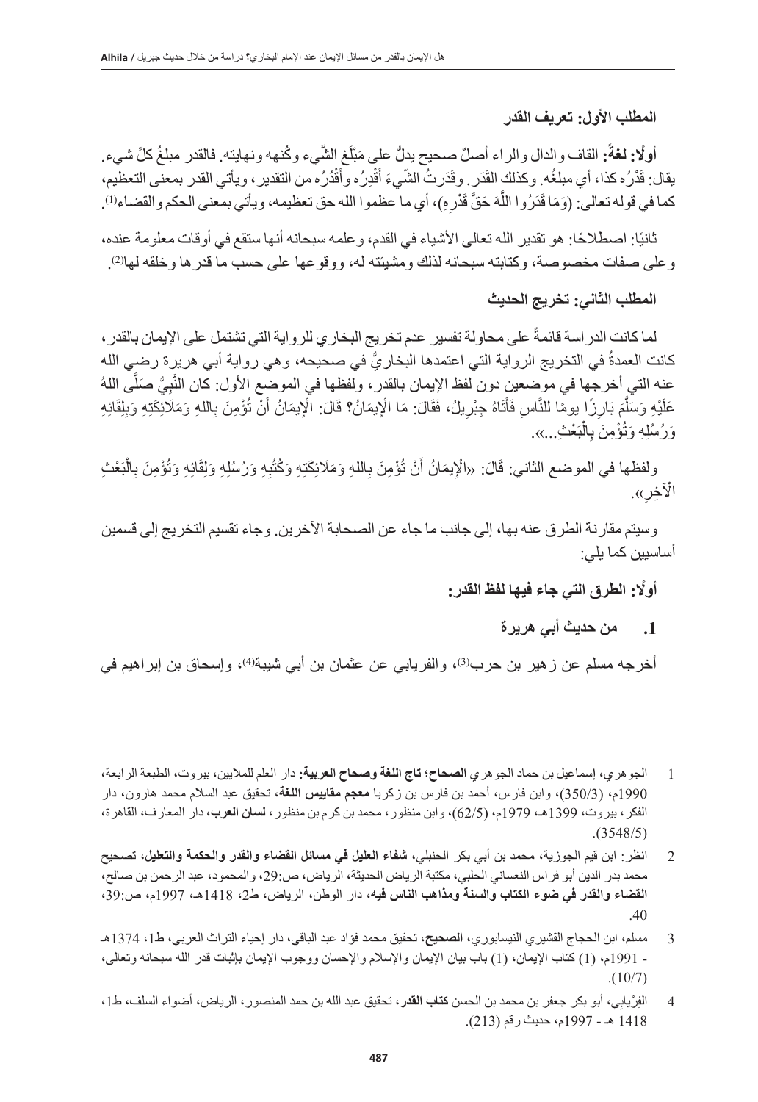**المطلب األول: تعريف القدر**

**أولًا: لغةً:** القاف والدال والراء أصلٌّ صحيح يدلُّ على مَبْلَغ الشَّيء وكُنهه ونهايته. فالقدر مبلغُ كلِّ شيء ِ يقال: قَدْرُه كذا، أي مبلغُه. وكذلكِ القَدَر . وقَدَرتُ الشّيءَ أَقْدِرُه وأقْدُرُه من النقدير ، ويأتي القدر بمعنى التعظيم، ֧֧֡֓֓֓֝֓֓<u>֓</u>֖֚֚֓֝ كما في قوله تعالى: (وَمَا قَدَرُوا اللَّهَ حَقَّ قَدْرِهِ)، أي ما عظموا الله حق تعظيمه، ويأتي بمعنى الحكم والقضاء(!).

نَّانيًا: اصطلاحًا: هو تقدير الله تعالى الاشياء في القدم، و علمه سبحانه انها ستقع في اوقات معلومة عنده، . )2( وعلى صفات مخصوصة، وكتابته سبحانه لذلك ومشيئته له، ووقوعها على حسب ما قدرها وخلقه لها

**المطلب الثاني: تخريج الحديث**

لما كانت الدر اسة قائمةً على محاولة تفسير عدم تخريج البخار ي للرواية التي تشتمل على الإيمان بالقدر ، كانت العمدةُ في التخريج الرواية التي اعتمدها البخاريُّ في صحيحه، وهي رواية أبي هريرة رضي الله عنه التي أخرجها في موضعين دون لفظ الإيمان بالقدر ، ولفظها في الموضع الأول: كان النَّبِيُّ صَلَّى اللهُ عَلَيْهِ وَسَلَّمَ بَارِزًا بِومًا للنَّاسِ فَأَتَاهُ جِبْرِيلُ، فَقَالَ: مَا الْإِيمَانُ؟ قَالَ: الْإِيمَانُ أَنْ تُؤْمِنَ بِاللهِ وَمَلَائِكَتِهِ وَبِلِقَائِهِ ِل :<br>ا وَرُسُلِهِ وَتُؤْمِنَ بِالْبَعْثِ...».

ولفظها في الموضع الثاني: قَالَ: «الْإِيمَانُ أَنْ تُؤْمِنَ بِاللَّهِ وَمَلَائِكَتِهِ وَكُتُبِهِ وَرُسُلِهِ وَلِقَائِهِ وَتُؤْمِنَ بِالْبَعْثِ الْأَخِر».

وسيتم مقارنة الطرق عنه بها، إلى جانب ما جاء عن الصحابة اآلخرين. وجاء تقسيم التخريج إلى قسمين أساسيين كما يلي:

**ً أول: الطرق التي جاء فيها لفظ القدر:**

**.1 من حديث أبي هريرة**

أخرجه مسلم عن زهير بن حرب<sup>(3)</sup>، والفريابي عن عثمان بن أبي شيبة<sup>(4)</sup>، وإسحاق بن إبراهيم في

<sup>1</sup> الجوهري، **إ**سماعيل بن حماد الجوهري **الصحاح؛ تاج اللغة وصحاح العربية:** دار العلم للماليين، بيروت، الطبعة الرابعة، 1990م، )350/3(، وابن فارس، أحمد بن فارس بن زكريا **معجم مقاييس اللغة**، تحقيق عبد السالم محمد هارون، دار الفكر، بيروت، 1399هـ، 1979م، )62/5(، وابن منظور، محمد بن كرم بن منظور، **لسان العرب**، دار المعارف، القاهرة،  $. (3548/5)$ 

<sup>2</sup> انظر: ابن قيم الجوزية، محمد بن أبي بكر الحنبلي، **شفاء العليل في مسائل القضاء والقدر والحكمة والتعليل**، تصحيح محمد بدر الدين أبو فراس النعساني الحلبي، مكتبة الرياض الحديثة، الرياض، ص،29: والمحمود، عبد الرحمن بن صالح، **القضاء والقدر في ضوء الكتاب والسنة ومذاهب الناس فيه،** دار الوطن، الرياض، ط،2 1418هـ، 1997م، ص،39: .40

<sup>3</sup> مسلم، ابن الحجاج القشيري النيسابوري، **الصحيح،** تحقيق محمد فؤاد عبد الباقي، دار إحياء التراث العربي، ط،1 1374هـ - 1991م، )1( كتاب اإليمان، )1( باب بيان اإليمان واإلسالم واإلحسان ووجوب اإليمان بإثبات قدر الله سبحانه وتعالى،  $. (10/7)$ 

<sup>4</sup> الفِرْيابِي، أبو بكر جعفر بن محمد بن الحسن **كتاب القد**ر، تحقيق عبد الله بن حمد المنصور ، الرياض، أضواء السلف، ط1، 1418 هـ - 1997م، حديث رقم )213(.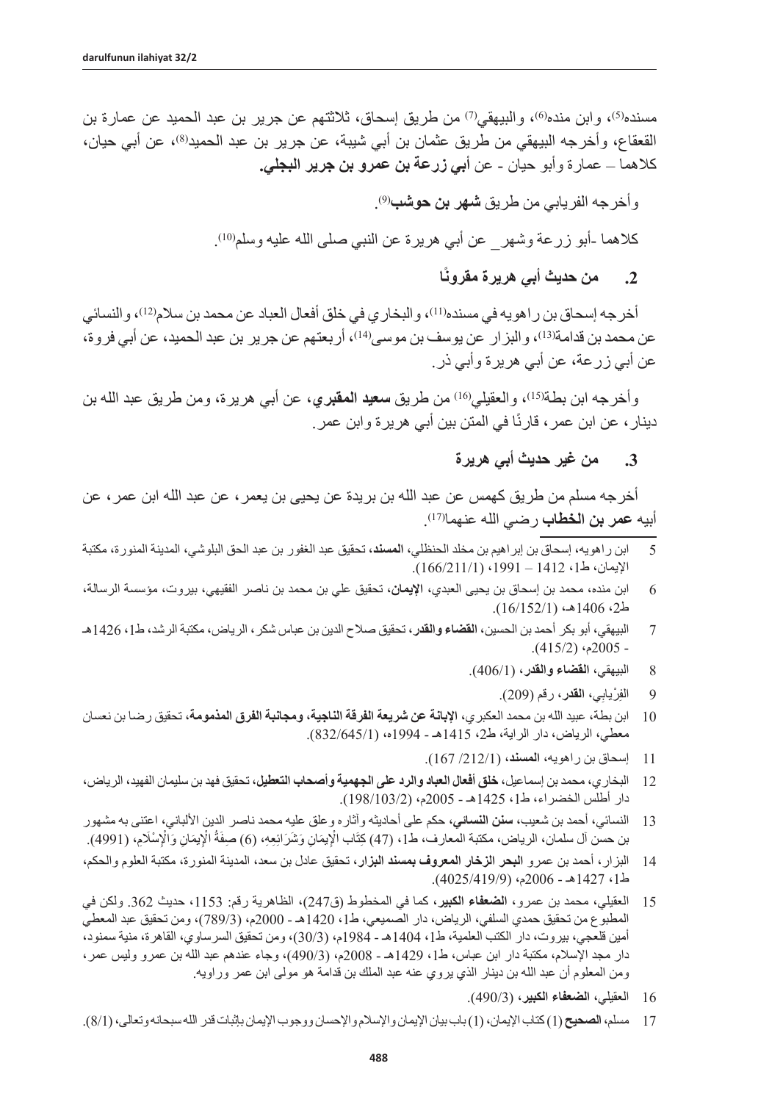مسنده<sup>(5)</sup>، وابن منده®، والبيهقي(<sup>7)</sup> من طريق إسحاق، ثلاثتهم عن جرير بن عبد الحميد عن عمارة بن القعقاع، وأخرجه البيهقي من طريق عثمان بن أبي شيبة، عن جرير بن عبد الحميد®، عن أبي حيان، كالهما – عمارة وأبو حيان - عن **أبي زرعة بن عمرو بن جرير البجلي.**

. )9( وأخرجه الفريابي من طريق **شهر بن حوشب**

كلاهما ـأبو زرعة وشهر\_ عن أبي هريرة عن النبي صلى الله عليه وسلم١٥).

**ًا .2 من حديث أبي هريرة مقرون**

أخر جه إسحاق بن ر اهو يه في مسنده(!!)، و البخار ي في خلق أفعال العباد عن محمد بن سلام(?!)، و النسائي عن محمد بن قدامة(<sup>13)</sup>، والبزار عن يوسف بن موسى(<sup>14)</sup>، أربعتهم عن جرير بن عبد الحميد، عن أبي فروة، عن أبي زرعة، عن أبي هريرة وأبي ذر.

وأخرجه ابن بطة<sup>(15)</sup>، والعقيلي<sup>(16)</sup> من طريق **سعيد المقبري**، عن أبي هريرة، ومن طريق عبد الله بن دينار ، عن ابن عمر ، قارنًا في المتن بين أبي هريرة وابن عمر <sub>.</sub>

**.3 من غير حديث أبي هريرة**

أخرجه مسلم من طريق كهمس عن عبد الله بن بريدة عن يحيى بن يعمر، عن عبد الله ابن عمر، عن . )17( أبيه **عمر بن الخطاب** رضي الله عنهما

- 5 ابن راهويه، إسحاق بن إبراهيم بن مخلد الحنظلي، **المسند**، تحقيق عبد الغفور بن عبد الحق البلوشي، المدينة المنورة، مكتبة الإيمان، ط1، 1412 – 1991، (1/11/166/211).
- 6 ابن منده، محمد بن إسحاق بن يحيى العبدي، **اإليمان**، تحقيق علي بن محمد بن ناصر الفقيهي، بيروت، مؤسسة الرسالة،  $(16/152/1)$ هـ، (16/152).
- 7 البيهقي، أبو بكر أحمد بن الحسين، **القضاء والقدر،** تحقيق صالح الدين بن عباس شكر، الرياض، مكتبة الرشد، ط،1 1426هـ  $(415/2)$  (2005م $-$ 
	- 8 البيهقي، **القضاء والقدر،** )406/1(.
		- 9 الفِرْيابِي**، القدر،** رقم (209).
- 10 ابن بطة، عبيد الله بن محمد العكبري، **اإلبانة عن شريعة الفرقة الناجية، ومجانبة الفرق المذمومة،** تحقيق رضا بن نعسان معطي، الرياض، دار الراية، ط2، 1415هـ - 1994ه، (832/645/1).
	- 11 إسحاق بن راهويه، **المسند،** )/212/1 167(.
- 12 البخاري، محمد بن إسماعيل، **خلق أفعال العباد والرد على الجهمية وأصحاب التعطيل**، تحقيق فهد بن سليمان الفهيد، الرياض، دار أطلس الخضراء، ط،1 1425هـ - 2005م، )198/103/2(.
- 13 النسائي، أحمد بن شعيب، **سنن النسائي**، حكم على أحاديثه وآثاره وعلق عليه محمد ناصر الدين األلباني، اعتنى به مشهور بن حسن آل سلمان، الرياض، مكتبة المعارف، ط1، (47) كِتَاب الْإيمَانِ وَشَرَائِعِهِ، (6) صفةُ الْإيمَانِ وَالْإِسْلَامِ، (4991).
- 14 البزار، أحمد بن عمرو **البحر الزخار المعروف بمسند البزار**، تحقيق عادل بن سعد، المدينة المنورة، مكتبة العلوم والحكم، ط،1 1427هـ - 2006م، )4025/419/9(.
- 15 العقيلي، محمد بن عمرو، **الضعفاء الكبير،** كما في المخطوط )ق247(، الظاهرية رقم: ،1153 حديث .362 ولكن في المطبوع من تحقيق حمدي السلفي، الرياض، دار الصميعي، ط،1 1420هـ - 2000م، )789/3(، ومن تحقيق عبد المعطي أمين قلعجي، بيروت، دار الكتب العلمية، ط1، 1404هـ - 1984م، (30/3)، ومن تحقيق السرساوي، القاهرة، منية سمنود، دار مجد الإسلام، مكتبة دار ابن عباس، ط1، 1429هـ - 2008م، (490/3)، وجاء عندهم عبد الله بن عمرو وليس عمر، ومن المعلوم أن عبد الله بن دينار الذي يروي عنه عبد الملك بن قدامة هو مولى ابن عمر وراويه.
	- 16 العقيلي، **الضعفاء الكبير،** )490/3(.
- 17 مسلم، **الصحيح** )1( كتاب اإليمان، )1( باب بيان اإليمان واإلسالم واإلحسان ووجوب اإليمان بإثبات قدر الله سبحانه وتعالى، )8/1(.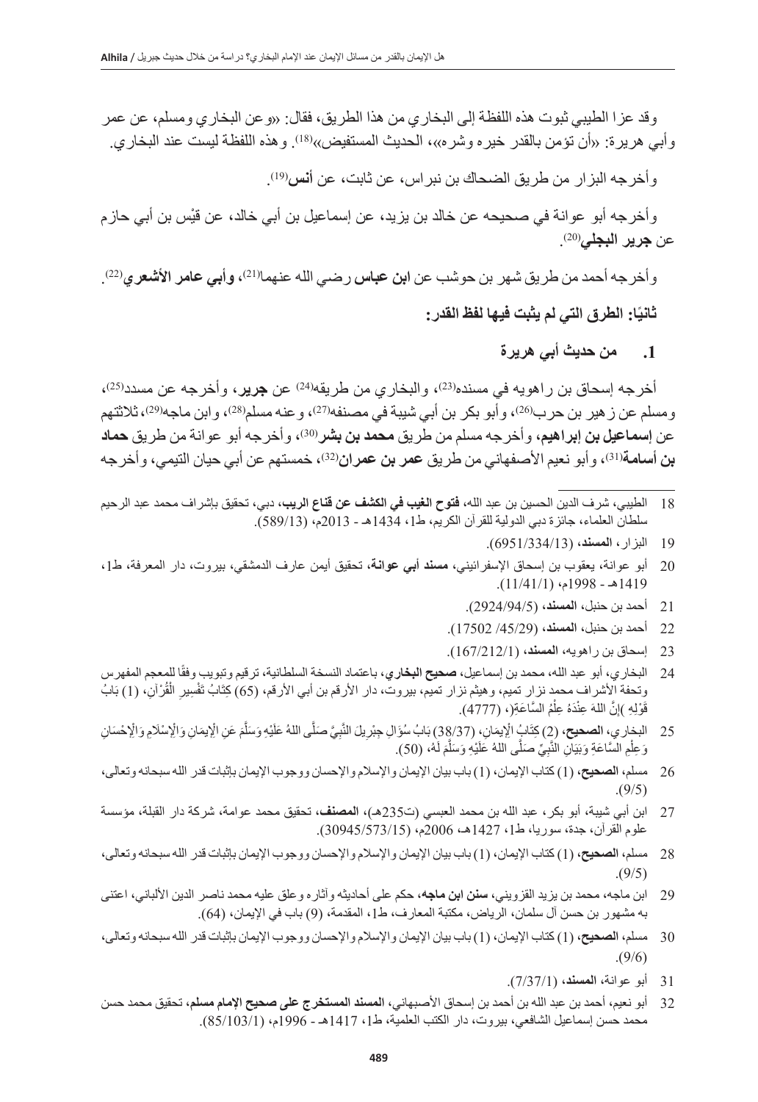وقد عزا الطيبي ثبوت هذه اللفظة إلى البخاري من هذا الطريق، فقال: »وعن البخاري ومسلم، عن عمر وابي هريرة: «ان تؤمن بالقدر خيره وشره»، الحديث المستفيض»<sup>(18)</sup>. وهذه اللفظة ليست عند البخاري<sub>.</sub>

. )19( وأخرجه البزار من طريق الضحاك بن نبراس، عن ثابت، عن **أنس**

ْ وأخرجه أبو عوانة في صحيحه عن خالد بن يزيد، عن إسماعيل بن أبي خالد، عن قيس بن أبي حازم .)20( عن **جرير البجلي**

وأخرجه أحمد من طريق شهر بن حوشب عن **ابن عباس** رضيي الله عنهما<sup>(21)</sup>، **وأبي عامر الاشعر**ي<sup>(22)</sup>. **ًا: الطرق التي لم يثبت فيها لفظ القدر: ثاني**

**.1 من حديث أبي هريرة**

أخرجه إسحاق بن راهويه في مسنده<sup>(23</sup>)، والبخاري من طريقه<sup>(24)</sup> عن **جرير**، وأخرجه عن مسدد<sup>(25)</sup>، ومسلم عن ز هير بن حرب<sup>(26)</sup>، وأبو بكر بن أبي شيبة في مصنفه<sup>(27)</sup>، و عنه مسلم<sup>(28)</sup>، وابن ماجه<sup>(29)</sup>، ثلاثتهم عن إ**سماعيل بن إبراهيم**، وأخرجه مسلم من طريق **محمد بن بشر** <sup>(30</sup>)، وأخرجه أبو عوانة من طريق **حماد بن أسامة**(31)، وأبو نعيم الأصفهاني من طريق **عمر بن عمران**(32)، خمستهم عن أبي حيان التيمي، وأخرجه

- 18 الطيبي، شرف الدين الحسين بن عبد الله، **فتوح الغيب في الكشف عن قناع الريب**، دبي، تحقيق بإشراف محمد عبد الرحيم سلطان العلماء، جائزة دبي الدولية للقرآن الكريم، ط1، 1434هـ - 2013م، (589/13).
	- 19 البزار، **المسند،** )6951/334/13(.
- 20 أبو عوانة، يعقوب بن إسحاق اإلسفرائيني، **مسند أبي عوانة،** تحقيق أيمن عارف الدمشقي، بيروت، دار المعرفة، ط،1 1419هـ - 1998م، )11/41/1(.
	- 21 أحمد بن حنبل، **المسند،** )2924/94/5(.
	- 22 أحمد بن حنبل، **المسند،** )/45/29 17502(.
	- 23 إسحاق بن راهويه، **المسند،** )167/212/1(.
- 24 البخاري، أبو عبد الله، محمد بن إسماعيل، **صحيح البخاري**، باعتماد النسخة السلطانية، ترقيم وتبويب وفقًا للمعجم المفهرس وتحفة الأشراف محمد نزار تميم، وهيثم نزار تميم، بيروت، دار الأرقم بن أبي الأرقم، (65) كِتَابُ تَفْسِيرِ الْقُرْآنِ، (1) بَابُ ْقَوْلِهِ )إِنَّ اللهَ عِنْدَهُ عِلْمُ السَّاعَةِ(، (4777). ؚ<br>ׇ֚֚֡֬
- 25 الدخاري، **الصحيح،** (2 كِتَابٍُ الْإِيمَانِ، (38/37) بَابُ سُؤَالِ جِبْرِيلَ النَّبِيَّ صَلَّى اللهُ عَلَيْهِ وَسَلَّمَ عَنِ الْإِيمَانِ وَالْإِحْسَانِ وَ عِلْمِ السَّاعَةِ وَبَيَانِ النَّبِيِّ صَلَّى اللهُ عَلَيْهِ وَسَلَّمَ لَهُ، (50). ْ
- 26 مسلم، **الصحيح،** )1( كتاب اإليمان، )1( باب بيان اإليمان واإلسالم واإلحسان ووجوب اإليمان بإثبات قدر الله سبحانه وتعالى،  $.9/5()$
- 27 ابن أبي شيبة، أبو بكر، عبد الله بن محمد العبسي )ت235هـ(، **المصنف،** تحقيق محمد عوامة، شركة دار القبلة، مؤسسة علوم القرآن، جدة، سوريا، ط،1 1427هـ، 2006م، )30945/573/15(.
- 28 مسلم، **الصحيح،** )1( كتاب اإليمان، )1( باب بيان اإليمان واإلسالم واإلحسان ووجوب اإليمان بإثبات قدر الله سبحانه وتعالى،  $.9/5()$
- 29 ابن ماجه، محمد بن يزيد القزويني، **سنن ابن ماجه**، حكم على أحاديثه وآثاره وعلق عليه محمد ناصر الدين األلباني، اعتنى به مشهور بن حسن آل سلمان، الرياض، مكتبة المعارف، ط1، المقدمة، (9) باب في الإيمان، (64).
- 30 مسلم، **الصحيح،** )1( كتاب اإليمان، )1( باب بيان اإليمان واإلسالم واإلحسان ووجوب اإليمان بإثبات قدر الله سبحانه وتعالى،  $. (9/6)$ 
	- 31 أبو عوانة، **المسند،** )7/37/1(.
- 32 أبو نعيم، أحمد بن عبد الله بن أحمد بن إسحاق األصبهاني، **المسند المستخرج على صحيح اإلمام مسلم،** تحقيق محمد حسن محمد حسن إسماعيل الشافعي، بيروت، دار الكتب العلمية، ط،1 1417هـ - 1996م، )85/103/1(.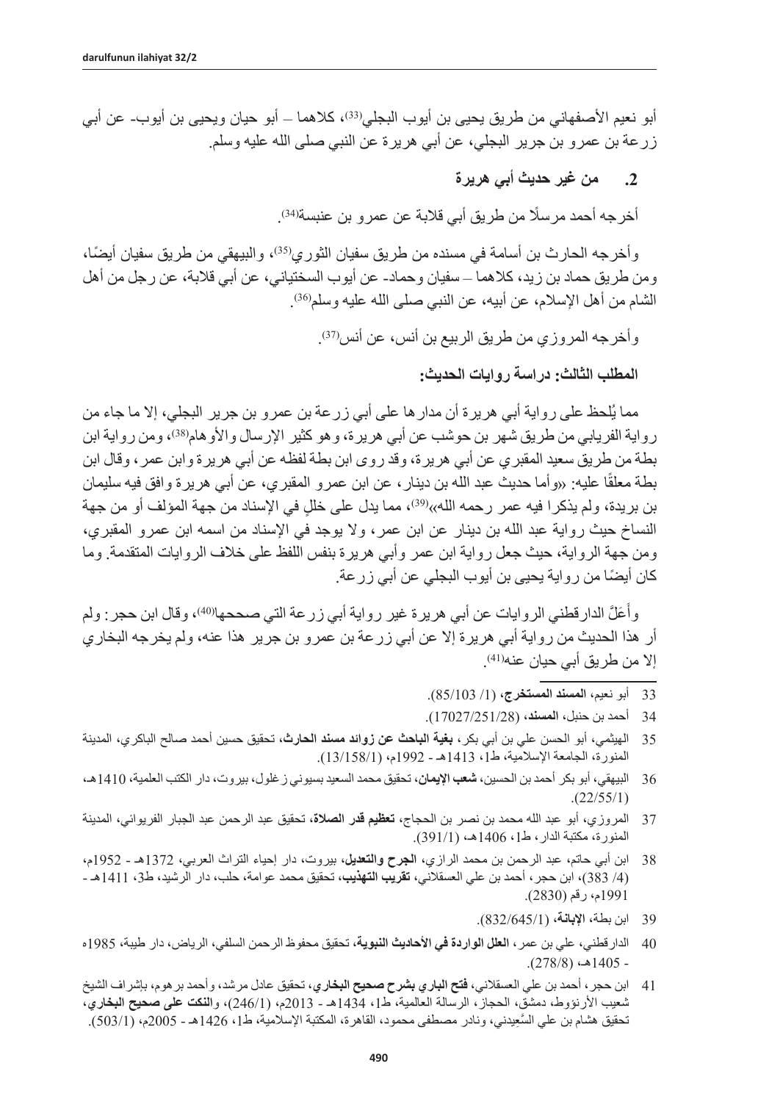أبو نعيم الأصفهاني من طريق يحيى بن أيوب البجلي<sup>(33)</sup>، كلاهما ـــ أبو حيان ويحيى بن أيوب- عن أبي زرعة بن عمرو بن جرير البجلي، عن أبي هريرة عن النبي صلى الله عليه وسلم.

## **.2 من غير حديث أبي هريرة**

أخرجه أحمد مرسلًا من طريق أبي قلابة عن عمرو بن عنبسةل<sup>34)</sup>.

وأخر جه الحارث بن أسامة في مسنده من طريق سفيان الثوري(35)، والبيهقي من طريق سفيان أيضًا، ومن طريق حماد بن زيد، كالهما – سفيان وحماد- عن أيوب السختياني، عن أبي قالبة، عن رجل من أهل الشام من أهل الإسلام، عن أبيه، عن النبي صلى الله عليه وسلم<sup>36)</sup>.

وأخرجه المروزي من طريق الربيع بن أنس، عن أنس<sup>(37)</sup>.

**المطلب الثالث: دراسة روايات الحديث:**

مما يُلحظ على رواية أبي هريرة أن مدارها على أبي زرعة بن عمرو بن جرير البجلي، إال ما جاء من رواية الفريابي من طريق شهر بن حوشب عن أبي هريرة، وهو كثير الإرسال والأوهام(38، ومن رواية ابن بطة من طريق سعيد المقبري عن أبي هريرة، وقد روى ابن بطة لفظه عن أبي هريرة وابن عمر، وقال ابن بطة معلقًا عليه: «وأما حديث عبد الله بن دينار ، عن ابن عمرو المقبري، عن أبي هريرة وافق فيه سليمان بن بريدة، ولم يذكر ا فيه عمر رحمه الله»(39)، مما يدل على خللٍ في الإسناد من جهة المؤلف أو من جهة النساخ حيث رواية عبد الله بن دينار عن ابن عمر، وال يوجد في اإلسناد من اسمه ابن عمرو المقبري، ومن جهة الرواية، حيث جعل رواية ابن عمر وأبي هريرة بنفس اللفظ على خالف الروايات المتقدمة. وما ً كان أيضا من رواية يحيى بن أيوب البجلي عن أبي زرعة.

وأعَلّ الدارقطني الروايات عن أبي هريرة غير رواية أبي زرعة الّتي صححها۞(4)، وقال ابن حجر : ولم أر هذا الحديث من رواية أبي هريرة إال عن أبي زرعة بن عمرو بن جرير هذا عنه، ولم يخرجه البخاري إلا من طريق أبي حيان عنه(41)<sub>.</sub>

- 33 أبو نعيم، ا**لمسند المستخرج،** (1/ 85/103).
- 34 أحمد بن حنبل، **المسند،** )17027/251/28(.
- 35 الهيثمي، أبو الحسن علي بن أبي بكر**، بغية الباحث عن زوائد مسند الحارث**، تحقيق حسين أحمد صالح الباكري، المدينة المنورة، الجامعة الإسلامية، ط1، 1413هـ - 1992م، (13/158/1).
- 36 البيهقي، أبو بكر أحمد بن الحسين، **شعب اإليمان**، تحقيق محمد السعيد بسيوني زغلول، بيروت، دار الكتب العلمية، 1410هـ،  $. (22/55/1)$
- 37 المروزي، أبو عبد الله محمد بن نصر بن الحجاج، **تعظيم قدر الصالة،** تحقيق عبد الرحمن عبد الجبار الفريوائي، المدينة المنورة، مكتبة الدار، ط،1 1406هـ، )391/1(.
- 38 ابن أبي حاتم، عبد الرحمن بن محمد الرازي، **الجرح والتعديل،** بيروت، دار إحياء التراث العربي، 1372هـ 1952م، )/4 383(، ابن حجر، أحمد بن علي العسقالني، **تقريب التهذيب،** تحقيق محمد عوامة، حلب، دار الرشيد، ط،3 1411هـ - 1991م، رقم )2830(.
	- 39 ابن بطة، **اإلبانة،** )832/645/1(.
- 40 الدارقطني، علي بن عمر، **العلل الواردة في األحاديث النبوية،** تحقيق محفوظ الرحمن السلفي، الرياض، دار طيبة، 1985ه  $(278/8)$ هـ،  $1405$ .
- 41 ابن حجر، أحمد بن علي العسقالني، **فتح الباري بشرح صحيح البخاري،** تحقيق عادل مرشد، وأحمد برهوم، بإشراف الشيخ شعيب األرنؤوط، دمشق، الحجاز، الرسالة العالمية، ط،1 1434هـ - 2013م، )246/1(، و**النكت على صحيح البخاري**، تحقيق هشام بن علي السَّعِيدني، ونادر مصطفى محمود، القاهرة، المكتبة الإسلامية، ط1، 1426هـ - 2005م، (503/1).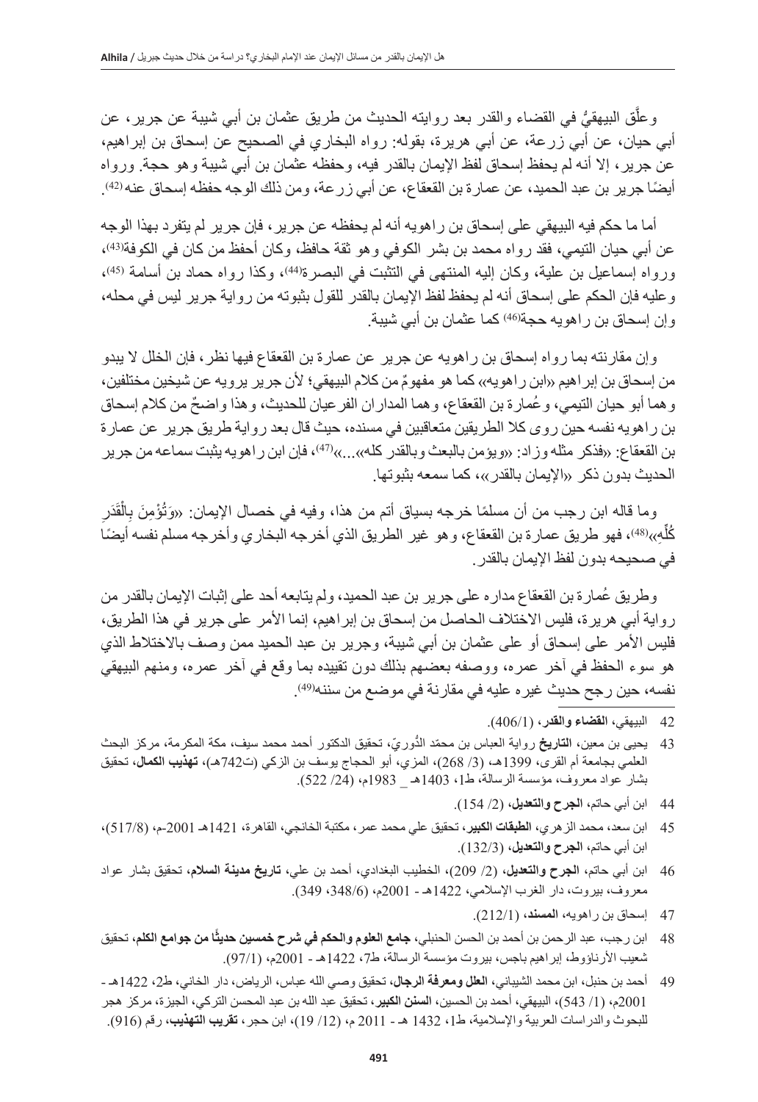َّوعلْق البيهقيَّ في القضاء والقدر بعد روايته الحديث من طريق عثمان بن أبي شيبة عن جرير، عن أبي حيان، عن أبي زرعة، عن أبي هريرة، بقوله: رواه البخاري في الصحيح عن إسحاق بن إبراهيم، عن جرير ، إلا أنه لم يحفظ إسحاق لفظ الإيمان بالقدر فيه، وحفظه عثمان بن أبي شيبة وهو حجة. ورواه أيضًا جرير بن عبد الحميد، عن عمارة بن القعقاع، عن أبي زرعة، ومن ذلك الوجه حفظه إسحاق عنه (42)<sub>.</sub>

أما ما حكم فيه البيهقي على إسحاق بن راهويه أنه لم يحفظه عن جرير، فإن جرير لم يتفرد بهذا الوجه عن أبي حيان التيمي، فقد ر واه محمد بن بشر الكوفي وهو ثقة حافظ، وكان أحفظ من كان في الكوفة<sup>(43)</sup>، ورواه إسماعيل بن علية، وكان إليه المنتهى في التثبت في البصرة(44)، وكذا رواه حماد بن أسامة (45)، وعليه فإن الحكم على إسحاق أنه لم يحفظ لفظ اإليمان بالقدر للقول بثبوته من رواية جرير ليس في محله، وإن إسحاق بن راهويه حجة<sup>(46)</sup> كما عثمان بن أب*ي* شيبة<sub>.</sub>

وإن مقارنته بما رواه إسحاق بن راهويه عن جرير عن عمارة بن القعقاع فيها نظر، فإن الخلل ال يبدو من إسحاق بن إبر اهيم «ابن راهويه»، كما هو مفهومٌ من كلام البيهقي؛ لأن جرير يرويه عن شيخين مختلفين، و هما أبو حيان التيمي، و عُمار ة بن القعقاع، و هما المدار ان الفر عيان للحديث، و هذا و اضحٌ من كلام إسحاق بن راهويه نفسه حين روى كال الطريقين متعاقبين في مسنده، حيث قال بعد رواية طريق جرير عن عمارة بن القعقاع: «فذكر مثله وزاد: «ويؤمن بالبعث وبالقدر كله»...»<sup>(47)</sup>، فإن ابن ر اهويه يثبت سماعه من جرير الحديث بدون ذكر «الإيمان بالقدر»، كما سمعه بثبوتها.

وما قاله ابن رجب من أن مسلمًا خرجه بسياق أتم من هذا، وفيه في خصـال الإيمان<sub>:</sub> «وَتُؤْمِنَ بِالْقَدَرِ كُلُّهِ››(48)، فهو طريق عمارة بن القعقاع، وهو غير الطريق الذي أخرجه البخاري وأخرجه مسلم نفسه أيضًا ِّفي صحيحه بدون لفظ اإليمان بالقدر.

ُ وطريق عمارة بن القعقاع مداره على جرير بن عبد الحميد، ولم يتابعه أحد على إثبات اإليمان بالقدر من رواية أبي هريرة، فليس الاختلاف الحاصل من إسحاق بن إبراهيم، إنما الأمر على جرير في هذا الطريق، فليس الأمر على إسحاق أو على عثمان بن أبي شيبة، وجرير بن عبد الحميد ممن وصف بالاختلاط الذي هو سوء الحفظ في آخر عمره، ووصفه بعضهم بذلك دون تقييده بما وقع في آخر عمره، ومنهم البيهقي نفسه، حين ر جح حديث غير ه عليه في مقارنة في موضـع من سننـه(49)<sub>.</sub>

- 42 البيهقي، ا**لقضاء والقدر،** (406/1).
- 43 يحيى بن معين، **التاريخ** رواية العباس بن محمّد الدُّوريّ، تحقيق الدكتور أحمد محمد سيف، مكة المكرمة، مركز البحث العلمي بجامعة أم القرى، 1399هـ، (3/ 268)، المزي، أبو الحجاج يوسف بن الزكي (ت742هـ)، **تهذيب الكمال**، تحقيق بشار عواد معروف، مؤسسة الرسالة، ط،1 1403هـ \_ 1983م، )/24 522(.
	- 44 ابن أبي حاتم، ا**لجرح والتعديل،** (2/ 154).
- 45 ابن سعد، محمد الزهري، **الطبقات الكبير،** تحقيق علي محمد عمر، مكتبة الخانجي، القاهرة، 1421هـ -2001م، )517/8(، ابن أبي حاتم، **الجرح والتعديل،** )132/3(.
- 46 ابن أبي حاتم، ا**لجرح والتعديل،** (2/ 209)، الخطيب البغدادي، أحمد بن علي، **تاريخ مدينة السلام**، تحقيق بشار عواد معروف، بيروت، دار الغرب الإسلامي، 1422هـ - 2001م، (348/6، 349).
	- 47 إسحاق بن راهويه، **المسند،** )212/1(.
- **ًا من جوامع الكلم**، تحقيق 48 ابن رجب، عبد الرحمن بن أحمد بن الحسن الحنبلي**، جامع العلوم والحكم في شرح خمسين حديث** شعيب الأرناؤوط، إبراهيم باجس، بيروت مؤسسة الرسالة، ط7، 1422هـ - 2001م، (97/1).
- 49 أحمد بن حنبل، ابن محمد الشيباني، ا**لعلل ومعرفة الرجال،** تحقيق وصبي الله عباس، الرياض، دار الخاني، ط2، 1422هـ -2001م، )/1 543(، البيهقي، أحمد بن الحسين، **السنن الكبير،** تحقيق عبد الله بن عبد المحسن التركي، الجيزة، مركز هجر للبحوث والدراسات العربية واإلسالمية، ط،1 1432 هـ - 2011 م، )/12 19(، ابن حجر، **تقريب التهذيب**، رقم )916(.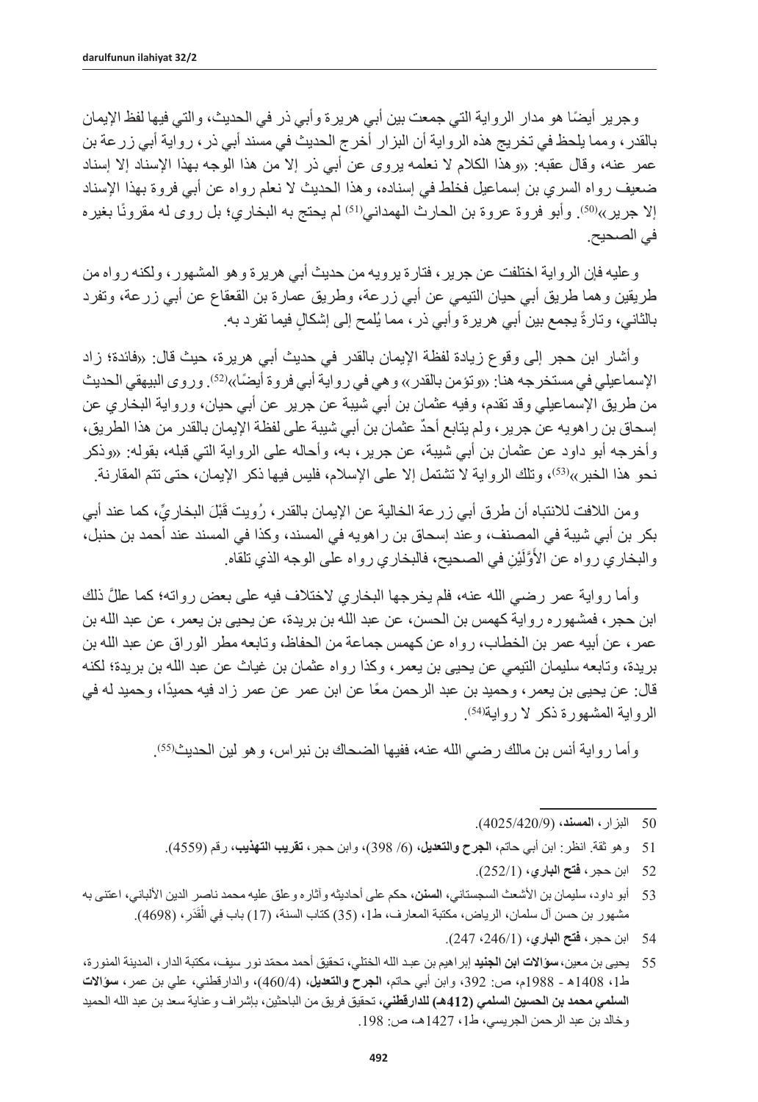ً وجرير أيضا هو مدار الرواية التي جمعت بين أبي هريرة وأبي ذر في الحديث، والتي فيها لفظ اإليمان بالقدر، ومما يلحظ في تخريج هذه الرواية أن البزار أخرج الحديث في مسند أبي ذر، رواية أبي زرعة بن عمر عنه، وقال عقبه: »وهذا الكالم ال نعلمه يروى عن أبي ذر إال من هذا الوجه بهذا اإلسناد إال إسناد ضعيف رواه السري بن إسماعيل فخلط في إسناده، وهذا الحديث ال نعلم رواه عن أبي فروة بهذا اإلسناد إلا جرير»(50)<sub>.</sub> وأبو فروة عروة بن الحارث الهمداني<sup>(51)</sup> لم يحتج به البخاري؛ بل روى له مقرونًا بغيره في الصحيح.

وعليه فإن الرواية اختلفت عن جرير، فتارة يرويه من حديث أبي هريرة وهو المشهور، ولكنه رواه من طريقين وهما طريق أبي حيان التيمي عن أبي زرعة، وطريق عمارة بن القعقاع عن أبي زرعة، وتفرد بالثاني، وتارةً بجمع بين أبي هريرة وأبي ذر ، مما يُلمح إلى إشكالٍ فيما تفرد به.

وأشار ابن حجر إلى وقوع زيادة لفظة الإيمان بالقدر في حديث أبي هريرة، حيث قال: «فائدة؛ زاد الإسماعيلي في مستخرجه هنا: «وتؤمن بالقدر» و هي في ر واية أبي فر وة أيضًا» <sup>(2</sup>2). ور و ى البيهقي الحديث من طريق اإلسماعيلي وقد تقدم، وفيه عثمان بن أبي شيبة عن جرير عن أبي حيان، ورواية البخاري عن ٌ إسحاق بن راهويه عن جرير، ولم يتابع أحد عثمان بن أبي شيبة على لفظة اإليمان بالقدر من هذا الطريق، وأخرجه أبو داود عن عثمان بن أبي شيبة، عن جرير، به، وأحاله على الرواية التي قبله، بقوله: »وذكر نحو هذا الخبر»<sup>(53)</sup>، وتلك الرواية لا تشتمل إلا على الإسلام، فليس فيها ذكر الإيمان، حتى تتم المقارنة<sub>.</sub>

ومن اللافت للانتباه أن طرق أبي زرعة الخالية عن الإيمان بالقدر، رُويت قَبْلَ البخاريِّ، كما عند أبي بكر بن أبي شيبة في المصنف، وعند إسحاق بن راهويه في المسند، وكذا في المسند عند أحمد بن حنبل، والبخاري رواه عن الأوَّلَّيْنِ في الصحيح، فالبخاري رواه على الوجه الذي تلقاه. َ

َّ وأما رواية عمر رضي الله عنه، فلم يخرجها البخاري الختالف فيه على بعض رواته؛ كما علل ذلك ابن حجر، فمشهوره رواية كهمس بن الحسن، عن عبد الله بن بريدة، عن يحيى بن يعمر، عن عبد الله بن عمر، عن أبيه عمر بن الخطاب، رواه عن كهمس جماعة من الحفاظ، وتابعه مطر الوراق عن عبد الله بن بريدة، وتابعه سليمان التيمي عن يحيى بن يعمر، وكذا رواه عثمان بن غياث عن عبد الله بن بريدة؛ لكنه قال: عن يحيى بن يعمر ، وحميد بن عبد الرحمن معًا عن ابن عمر عن عمر زاد فيه حميدًا، وحميد له في الرواية المشهورة ذكر لا رواية<sup>(54)</sup>.

وأما رواية أنس بن مالك رضي الله عنه، ففيها الضحاك بن نبر اس، وهو لين الحديث<sup>55)</sup>.

- 51 وهو ثقة. انظر: ابن أبي حاتم، ا**لجرح والتعديل،** (6/ 398)، وابن حجر ، **تقريب التهذيب**، رقم (4559).
	- 52 ابن حجر، **فتح الباري،** )252/1(.
- 53 أبو داود، سليمان بن األشعث السجستاني، **السنن،** حكم على أحاديثه وآثاره وعلق عليه محمد ناصر الدين األلباني، اعتنى به مشهور بن حسن آل سلمان، الرياض، مكتبة المعارف، ط1، (35) كتاب السنة، (17) باب فِي الْقَدَرِ، (4698).
	- 54 ابن حجر، **فتح الباري،** )،246/1 247(.
- 55 يحيى بن معين،**سؤاالت ابن الجنيد** ّ إبراهيم بن عبـد الله الختلي، تحقيق أحمد محمد نور سيف، مكتبة الدار، المدينة المنورة، ط،1 1408ه - 1988م، ص: ،392 وابن أبي حاتم، **الجرح والتعديل،** )460/4(، والدارقطني، علي بن عمر، **سؤاالت السلمي محمد بن الحسين السلمي )412هـ( للدارقطني،** تحقيق فريق من الباحثين، بإشراف وعناية سعد بن عبد الله الحميد وخالد بن عبد الرحمن الجريسي، ط1، 1427هـ، ص: 198.

<sup>50</sup> البزار، **المسند،** )4025/420/9(.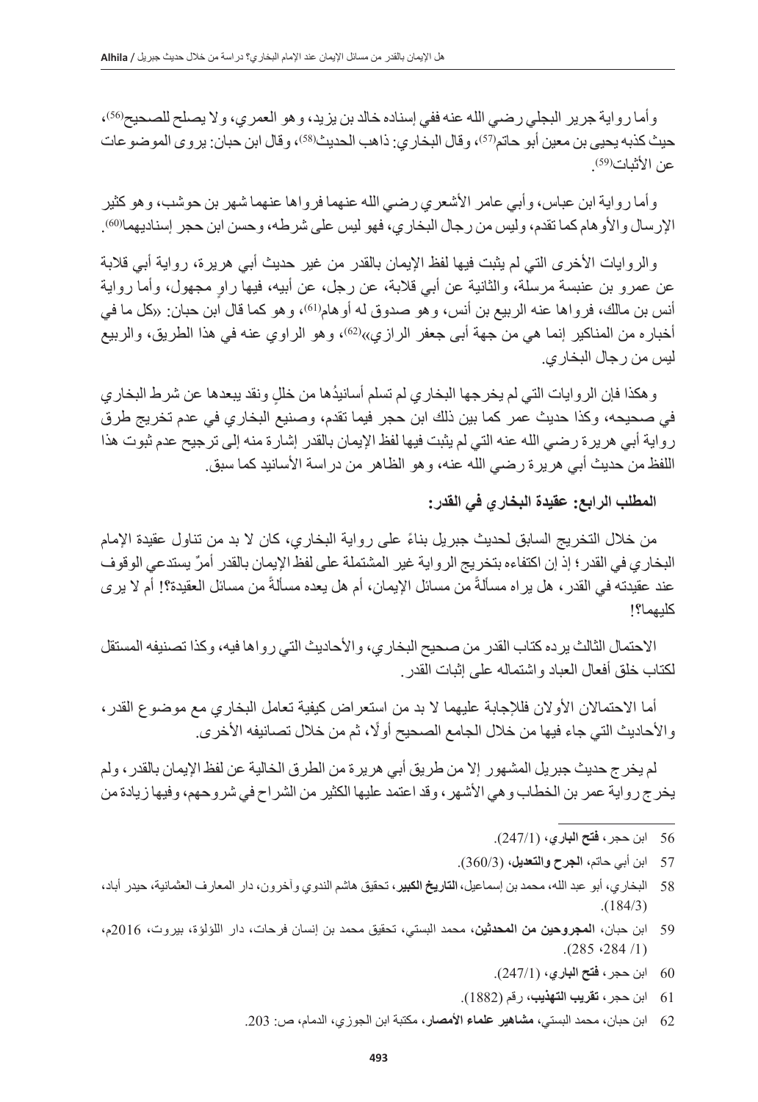وأما رواية جرير البجلي رضي الله عنه ففي إسناده خالد بن يزيد، وهو العمري، ولا يصلح للصحيح(56)، حيث كذبه يحيى بن معين ابو حاتم(57)، وقال البخاري: ذاهب الحديث(58)، وقال ابن حبان: يروى الموضو عات عن الأثبات(59)<sub>.</sub>

وأما رواية ابن عباس، وأبي عامر األشعري رضي الله عنهما فرواها عنهما شهر بن حوشب، وهو كثير الإرسال والأو هام كما تقدم، وليس من رجال البخاري، فهو ليس على شرطه، وحسن ابن حجر إسناديهمالا60).

والروايات الأخرى التي لم يثبت فيها لفظ الإيمان بالقدر من غير حديث أبي هريرة، رواية أبي قلابة ٍ عن عمرو بن عنبسة مرسلة، والثانية عن أبي قالبة، عن رجل، عن أبيه، فيها راو مجهول، وأما رواية أنس بن مالك، فرواها عنه الربيع بن أنس، وهو صدوق له أوهام'<sup>(61</sup>)، وهو كما قال ابن حبان<sub>:</sub> «كل ما في أخباره من المناكير إنما هي من جهة أبي جعفر الرازي»(62)، وهو الراوي عنه في هذا الطريق، والربيع ليس من رجال البخاري.

ُ وهكذا فإن الروايات التي لم يخرجها البخاري لم تسلم أسانيد ٍ ها من خلل ونقد يبعدها عن شرط البخاري في صحيحه، وكذا حديث عمر كما بين ذلك ابن حجر فيما تقدم، وصنيع البخاري في عدم تخريج طرق رواية أبي هريرة رضي الله عنه التي لم يثبت فيها لفظ اإليمان بالقدر إشارة منه إلى ترجيح عدم ثبوت هذا اللفظ من حديث أبي هر بر ة ر ضبي الله عنه، و هو الظاهر من در اسة الأسانيد كما سبق ِ

**المطلب الرابع: عقيدة البخاري في القدر:** 

ً من خالل التخريج السابق لحديث جبريل بناء على رواية البخاري، كان ال بد من تناول عقيدة اإلمام ٌ البخاري في القدر؛ إذ إن اكتفاءه بتخريج الرواية غير المشتملة على لفظ اإليمان بالقدر أمر يستدعي الوقوف عند عقيدته في القدر ، هل يراه مسألةً من مسائل الإيمان، أم هل يعده مسألةً من مسائل العقيدة؟! أم لا ير ي كليهما؟!

االحتمال الثالث يرده كتاب القدر من صحيح البخاري، واألحاديث التي رواها فيه، وكذا تصنيفه المستقل لكتاب خلق أفعال العباد واشتماله على إثبات القدر.

أما الاحتمالان الأولان فللإجابة عليهما لا بد من استعراض كيفية تعامل البخاري مع موضوع القدر، والأحاديث التي جاء فيها من خلال الجامع الصحيح أولًا، ثم من خلال تصانيفه الأخرى.

لم يخرج حديث جبريل المشهور إال من طريق أبي هريرة من الطرق الخالية عن لفظ اإليمان بالقدر، ولم يخرج رواية عمر بن الخطاب وهي األشهر، وقد اعتمد عليها الكثير من الشراح في شروحهم، وفيها زيادة من

- 56 ابن حجر، **فتح الباري،** )247/1(.
- 57 ابن أبي حاتم، **الجرح والتعديل،** )360/3(.
- 58 البخاري، أبو عبد الله، محمد بن إسماعيل،**التاريخ الكبير**، تحقيق هاشم الندوي وآخرون، دار المعارف العثمانية، حيدر أباد،  $. (184/3)$
- 59 ابن حبان، **المجروحين من المحدثين،** محمد البستي، تحقيق محمد بن إنسان فرحات، دار اللؤلؤة، بيروت، 2016م،  $. (285 \cdot 284 / 1)$ 
	- 60 ابن حجر، **فتح الباري،** )247/1(.
	- 61 ابن حجر، **تقريب التهذيب،** رقم )1882(.
	- 62 ابن حبان، محمد البستي، **مشاهير علماء األمصار،** مكتبة ابن الجوزي، الدمام، ص: .203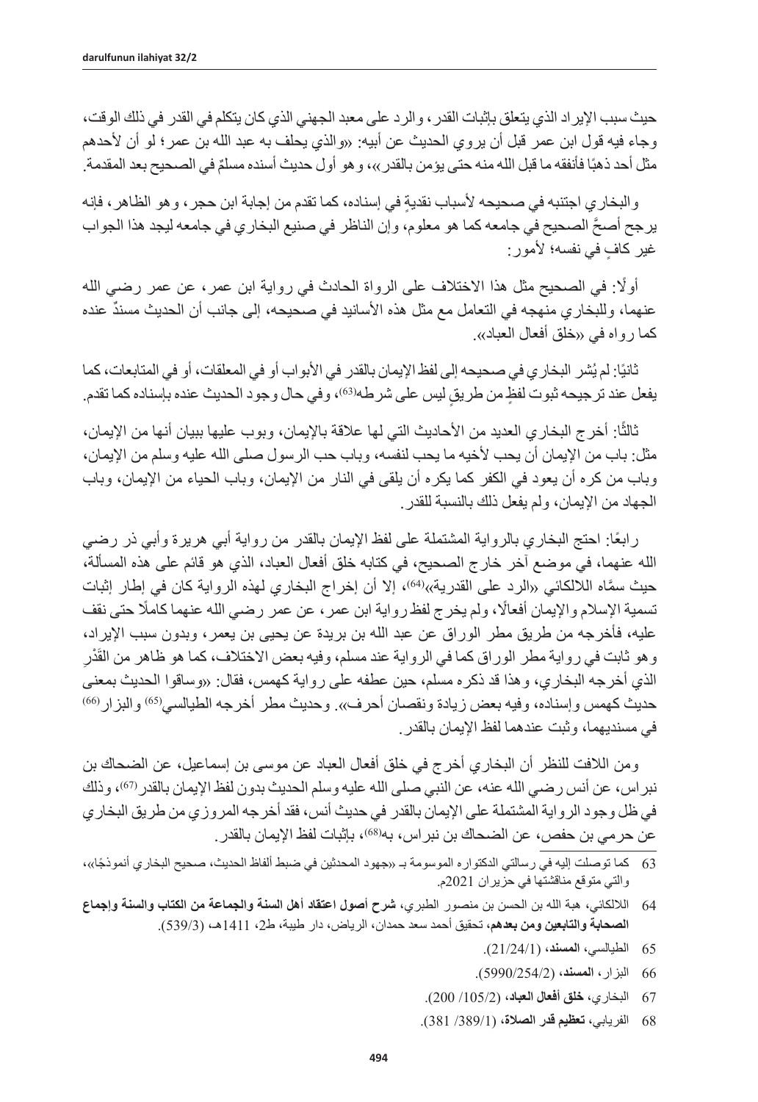حيث سبب اإليراد الذي يتعلق بإثبات القدر، والرد على معبد الجهني الذي كان يتكلم في القدر في ذلك الوقت، وجاء فيه قول ابن عمر قبل أن يروي الحديث عن أبيه: »والذي يحلف به عبد الله بن عمر؛ لو أن ألحدهم مثّل احد ذهبًا فانفقه ما قبل الله منه حتى يؤمن بالقدر ››، و هو أول حديث اسنده مسلّمٌ في الصحيح بعد المقدمة.

والبخاري اجتنبه في صحيحه لأسباب نقدية في إسناده، كما تقدم من إجابة ابن حجر ، و هو الظاهر ، فإنه َّ يرجح أصح الصحيح في جامعه كما هو معلوم، وإن الناظر في صنيع البخاري في جامعه ليجد هذا الجواب غير كاف في نفسه؛ لأمور:

أوًل: في الصحيح مثل هذا االختالف على الرواة الحادث في رواية ابن عمر، عن عمر رضي الله عنهما، وللبخار ي منهجه في التعامل مع مثل هذه الأسانيد في صحيحه، إلى جانب أن الحديث مسندٌ عنده كما ر و اه في «خلق أفعال العباد».

ناتيًا: لم يُشر البخار ي في صحيحه إلى لفظ الإيمان بالقدر في الابواب او في المعلقات، او في المتابعات، كما ً يفعل عند ترجيحه ثبوت لفظٍ من طريقٍ ليس على شرطه(63)، وفي حال وجود الحديث عنده بإسناده كما تقدم ِ

ثالثًا: أخرج البخاري العديد من الأحاديث التي لها علاقة بالإيمان، وبوب عليها ببيان أنها من الإيمان، مثل: باب من اإليمان أن يحب ألخيه ما يحب لنفسه، وباب حب الرسول صلى الله عليه وسلم من اإليمان، وباب من كره أن يعود في الكفر كما يكره أن يلقى في النار من اإليمان، وباب الحياء من اإليمان، وباب الجهاد من اإليمان، ولم يفعل ذلك بالنسبة للقدر.

ً رابعا: احتج البخاري بالرواية المشتملة على لفظ اإليمان بالقدر من رواية أبي هريرة وأبي ذر رضي الله عنهما، في موضع آخر خارج الصحيح، في كتابه خلق أفعال العباد، الذي هو قائم على هذه المسألة، حيث سمَّاه اللالكائي «الرد على القدرية»<sup>(64)</sup>، إلا أن إخراج البخاري لمهذه الرواية كان في إطار إثبات تسمية اإلسالم واإليمان أفعاًل، ولم يخرج لفظ رواية ابن عمر، عن عمر رضي الله عنهما كامًل حتى نقف عليه، فأخرجه من طريق مطر الوراق عن عبد الله بن بريدة عن يحيى بن يعمر، وبدون سبب اإليراد، وهو ثابت في رواية مطر الوراق كما في الرواية عند مسلم، وفيه بعض الاختلاف، كما هو ظاهر من القُدْرِ الذي أخرجه البخاري، وهذا قد ذكره مسلم، حين عطفه على رواية كهمس، فقال: »وساقوا الحديث بمعنى حديث كهمس وإسناده، وفيه بعض زيادة ونقصان أحرف». وحديث مطر أخرجه الطيالسي(65) والبزار(66 في مسنديهما، وثبت عندهما لفظ اإليمان بالقدر.

ومن الالفت للنظر أن البخاري أخرج في خلق أفعال العباد عن موسى بن إسماعيل، عن الضحاك بن نبر اس، عن أنس رضيي الله عنه، عن النبي صلى الله عليه وسلم الحديث بدون لفظ الإيمان بالقدر (67)، وذلك في ظل وجود الرواية المشتملة على اإليمان بالقدر في حديث أنس، فقد أخرجه المروزي من طريق البخاري عن حر مي بن حفص، عن الضحاك بن نبر اس، به(68)، بإثبات لفظ الإبمان بالقدر .

- 63 ً كما توصلت إليه في رسالتي الدكتواره الموسومة بـ «جهود المحدثين في ضبط ألفاظ الحديث، صحيح البخاري أنموذجًا»، والتي متوقع مناقشتها في حزيران 2021م.
- 64 الاللكائي، هبة الله بن الحسن بن منصور الطبري، **شرح أصول اعتقاد أهل السنة والجماعة من الكتاب والسنة وإجماع الصحابة والتابعين ومن بعدهم،** تحقيق أحمد سعد حمدان، الرياض، دار طيبة، ط،2 1411هـ، )539/3(.
	- 65 الطيالسي، **المسند،** )21/24/1(.
	- 66 البزار، **المسند،** )5990/254/2(.
	- 67 البخاري، **خلق أفعال العباد،** )/105/2 200(.
	- 68 الفريابي، **تعظيم قدر الصالة،** )/389/1 381(.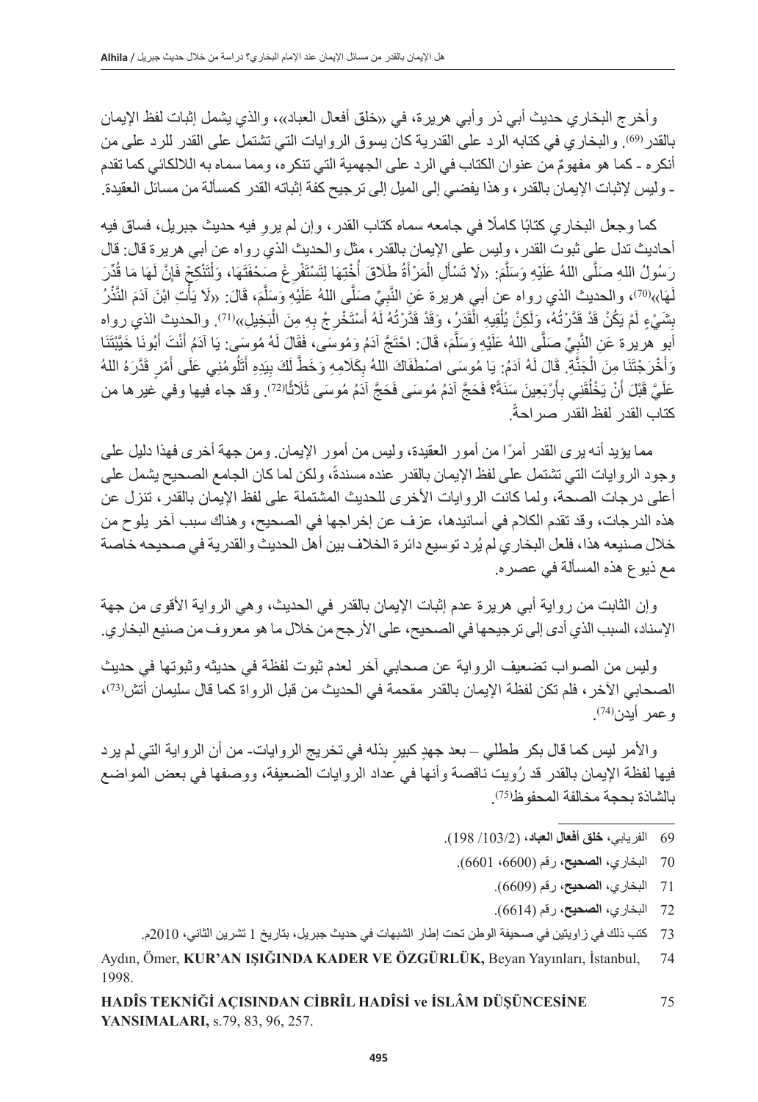وأخرج البخاري حديث أبي ذر وأبي هريرة، في «خلق أفعال العباد»، والذي يشمل إثبات لفظ الإيمان بالقدر (69)<sub>.</sub> والبخاري في كتابه الرد على القدرية كان يسوق الروايات التي تشتمل على القدر للرد على من أنكر ه ـ كما هو مفهومٌ من عنوان الكتاب في الرد على الجهمية التي تنكره، ومما سماه به اللالكائي كما تقدم - وليس إلثبات اإليمان بالقدر، وهذا يفضي إلى الميل إلى ترجيح كفة إثباته القدر كمسألة من مسائل العقيدة.

كما وجعل البخاري كتابًا كاملًا في جامعه سماه كتاب القدر ، وإن لم يروِ فيه حديث جبريل، فساق فيه أحاديث تدل على ثبوت القدر، وليس على اإليمان بالقدر، مثل والحديث الذي رواه عن أبي هريرة قال: قال رَسُولُ اللهِ صَلَّى اللهُ عَلَيْهِ وَسَلَّمَ: «لَا تَسْأَلِ الْمَرْأَةُ طَلَاقَ أُخْتِهَا لِتَسْتَفْرِغُ صَحْفَتَهَا، وَلْتَنْكِحْ فَإِنَّ لَهَا مَا قُدِّرَ ا<br>ا ْ َلَهَا»<sup>(70</sup>)، والحديث الذي رواه عن أبي هريرة عَنِ النَّبِيِّ صِلَّى اللهُ عَلَيْهِ وَسِلَّمَ، قَالَ: «لَا يَأْتِ ابْنَ آدَمَ النَّنْرُ **ٔ** بِشَيْءٍ لَمْ يَكُنْ قَدْ قَدَّرْتُهُ، وَلَكِنْ يُلْقِيهِ الْقَدَرُ، وَقَدْ قَدَّرْتُهُ لَهُ أَسْتَخْرِجُ بِهِ مِنَ الْبَخِيلِ»<sup>(71</sup>). والحديث الذي رواه أبو ِ هريرة عَنِ النَّبِيِّ صَلَّى اللهُ عَلَيْهِ وَسَلَّمَ، قَالَ: احْتَجَّ آدَمُ وَمُوسَى، فَقَالَ لَهُ مُوسَى: يَا آدَمُ أَنْتَ أَبُونَا خَيَّبْتَنَا ۖ وَأَخْرَ جُتَنَا مِنَ الْجَذَّةِ. قَالَ لَهُ آدَمُ: يَا مُوسَى اصْطَفَاكَ اللهُ بِكَلَامِهِ وَخَطَّ لَكَ بِيَدِهِ أَتَلُومُنِي عَلَى أَمْرٍ قَدَّرَهُ اللهُ ֖֖֖֖֖֖֪֪֪ׅ֚֚֚֚֚֚֚֚֚֚֚֚֚֚֚֚֚֚֚֚֚֚֝֟֟֟֓֟֓֞֟֓֞֟֓֞֟֓֞֟֓֞֟֬֝֓֞֟֓֞֬֝֬֝֬֝֬֝֬֝֓֞֝֬֝֬֝֓֞֝֬֝֬֝֝֬֝֝֬֝֝֬֝֝֬֝֬ ؘ<br>ا ا<br>ا عَلَيَّ قَبْلَ أَنْ يَخْلُقَنِي بِأَرْبَعِينَ سَنَةً؟ فَحَجَّ آدَمُ مُوسَى فَحَجَّ آدَمُ مُوسَى ثَلَاثًال $^{(27)}$ . وقد جاء فيها وفي غير ها من ًا ِأ .ً كتاب القدر لفظ القدر صراحة

ً مما يؤيد أنه يرى القدر أمرا من أمور العقيدة، وليس من أمور اإليمان. ومن جهة أخرى فهذا دليل على وجود الروايات التي تشتمل على لفظ الإيمان بالقدر عنده مسندةً، ولكن لما كان الجامع الصحيح يشمل على أعلى درجات الصحة، ولما كانت الروايات الأخرى للحديث المشتملة على لفظ الإيمان بالقدر، تنزل عن هذه الدرجات، وقد تقدم الكالم في أسانيدها، عزف عن إخراجها في الصحيح، وهناك سبب آخر يلوح من خالل صنيعه هذا، فلعل البخاري لم يُرد توسيع دائرة الخالف بين أهل الحديث والقدرية في صحيحه خاصة مع ذيوع هذه المسألة في عصره.

وإن الثابت من رواية أبي هريرة عدم إثبات الإيمان بالقدر في الحديث، وهي الرواية الأقوى من جهة اإلسناد، السبب الذي أدى إلى ترجيحها في الصحيح، على األرجح من خالل ما هو معروف من صنيع البخاري.

وليس من الصواب تضعيف الرواية عن صحابي آخر لعدم ثبوت لفظة في حديثه وثبوتها في حديث الصـحابي الآخر ، فلم تكن لفظة الإيمان بالقدر مقحمة في الحديث من قبل الرواة كما قال سليمان أتش(73)، وعمر أيدن(74)<sub>.</sub>

والأمر ليس كما قال بكر ططلي – بعد جهدٍ كبيرٍ بذله في تخريج الروايات- من أن الرواية التي لم يرد ُ فيها لفظة اإليمان بالقدر قد رويت ناقصة وأنها في عداد الروايات الضعيفة، ووصفها في بعض المواضع بالشاذة بحجة مخالفة المحفوظ(75)<sub>.</sub>

- 69 الفريابي، **خلق أفعال العباد،** )/103/2 198(.
- 70 البخاري، **الصحيح،** رقم )،6600 6601(.
	- 71 البخاري، **الصحيح،** رقم )6609(.
	- 72 البخاري، **الصحيح،** رقم )6614(.
- 73 كتب ذلك في زاويتين في صحيفة الوطن تحت إطار الشبهات في حديث جبريل، بتاريخ 1 تشرين الثاني، 2010م.

Aydın, Ömer, **KUR'AN IŞIĞINDA KADER VE ÖZGÜRLÜK,** Beyan Yayınları, İstanbul, 74 1998.

**HADÎS TEKNİĞİ AÇISINDAN CİBRÎL HADÎSİ ve İSLÂM DÜŞÜNCESİNE** 75 **YANSIMALARI,** s.79, 83, 96, 257.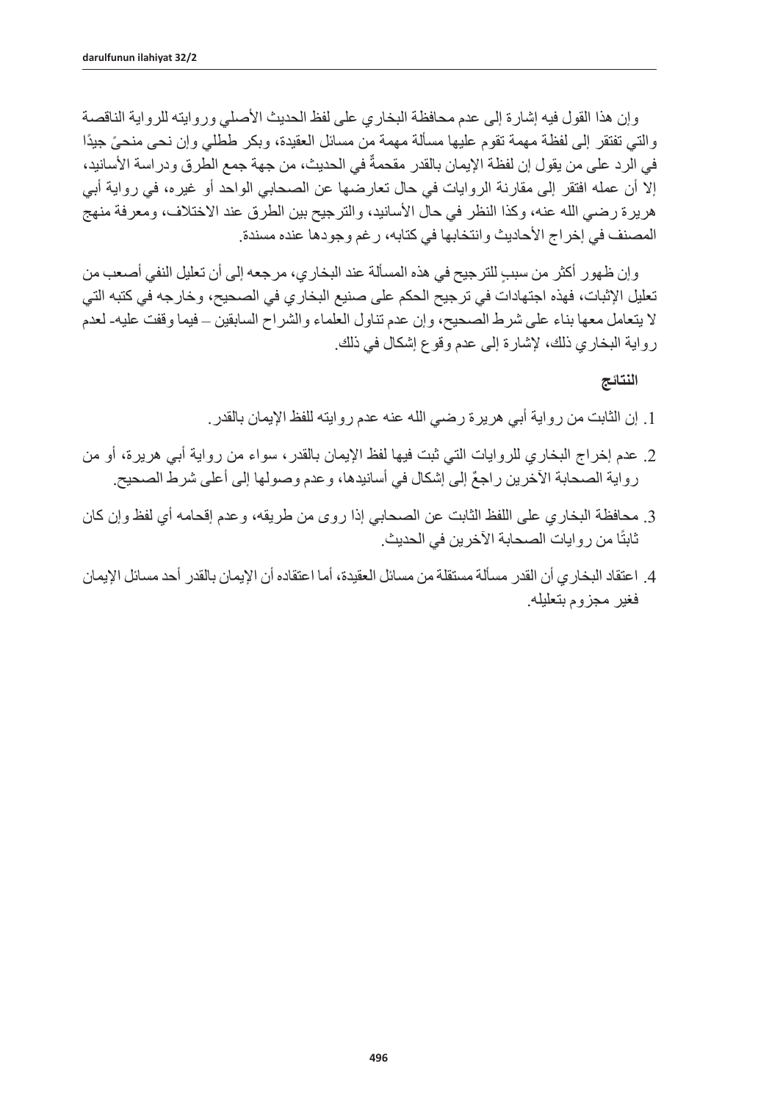وإن هذا القول فيه إشارة إلى عدم محافظة البخاري على لفظ الحديث الأصلي وروايته للرواية الناقصة ً والتي تفتقر إلى لفظة مهمة تقوم عليها مسألة مهمة من مسائل العقيدة، وبكر ططلي وإن نحى منحى ً جيدا في الرد على من يقول إن لفظة الإيمان بالقدر مقحمةٌ في الحديث، من جهة جمع الطرق ودراسة الأسانيد، إال أن عمله افتقر إلى مقارنة الروايات في حال تعارضها عن الصحابي الواحد أو غيره، في رواية أبي هريرة رضيي الله عنه، وكذا النظر في حال الأسانيد، والترجيح بين الطرق عند الاختلاف، ومعرفة منهج المصنف في إخراج الأحاديث وانتخابها في كتابه، رغم وجودها عنده مسندة.

ٍ وإن ظهور أكثر من سبب للترجيح في هذه المسألة عند البخاري، مرجعه إلى أن تعليل النفي أصعب من تعليل اإلثبات، فهذه اجتهادات في ترجيح الحكم على صنيع البخاري في الصحيح، وخارجه في كتبه التي ال يتعامل معها بناء على شرط الصحيح، وإن عدم تناول العلماء والشراح السابقين – فيما وقفت عليه- لعدم رواية البخاري ذلك، إلشارة إلى عدم وقوع إشكال في ذلك.

**النتائج** 

- .1 إن الثابت من رواية أبي هريرة رضي الله عنه عدم روايته للفظ اإليمان بالقدر.
- .2 عدم إخراج البخاري للروايات التي ثبت فيها لفظ اإليمان بالقدر، سواء من رواية أبي هريرة، أو من رواية الصحابة الآخرين راجعٌ إلى إشكال في أسانيدها، وعدم وصولها إلى أعلى شرط الصحيح.
- .3 محافظة البخاري على اللفظ الثابت عن الصحابي إذا روى من طريقه، وعدم إقحامه أي لفظ وإن كان ثابتًا من روايات الصحابة الأخرين في الحديث.
- .4 اعتقاد البخاري أن القدر مسألة مستقلة من مسائل العقيدة، أما اعتقاده أن اإليمان بالقدر أحد مسائل اإليمان فغير مجزوم بتعليله.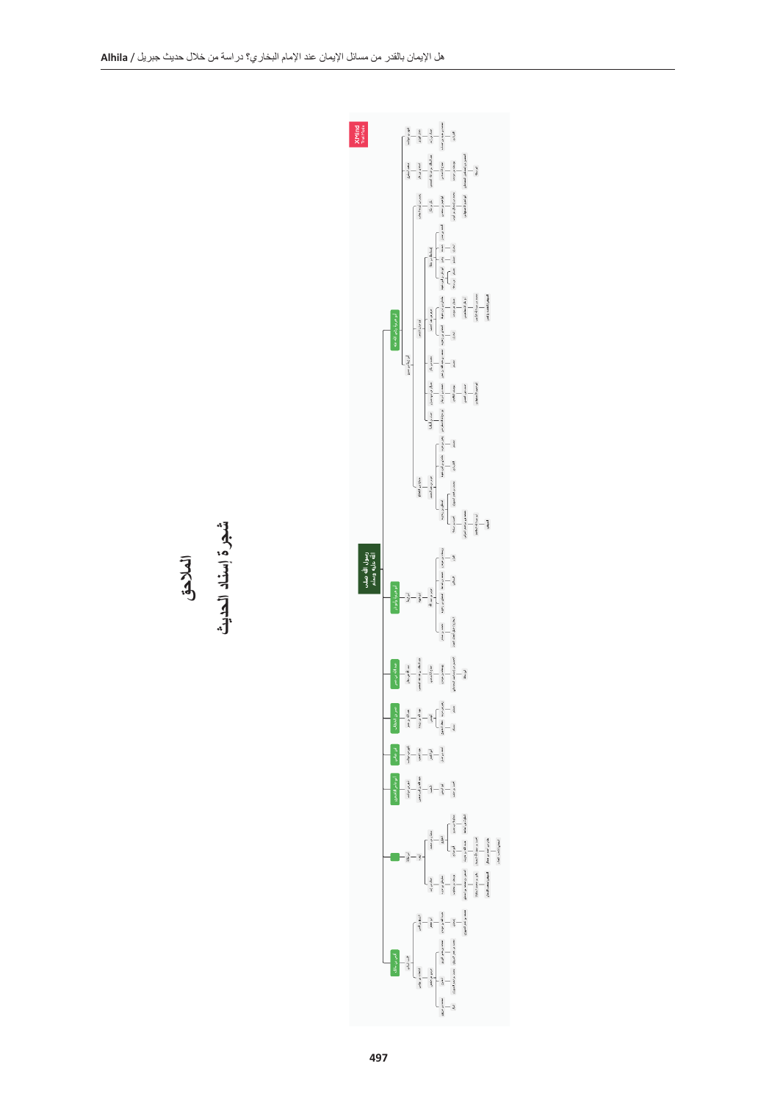

**المالحق**

**شجرة إسناد الحديث**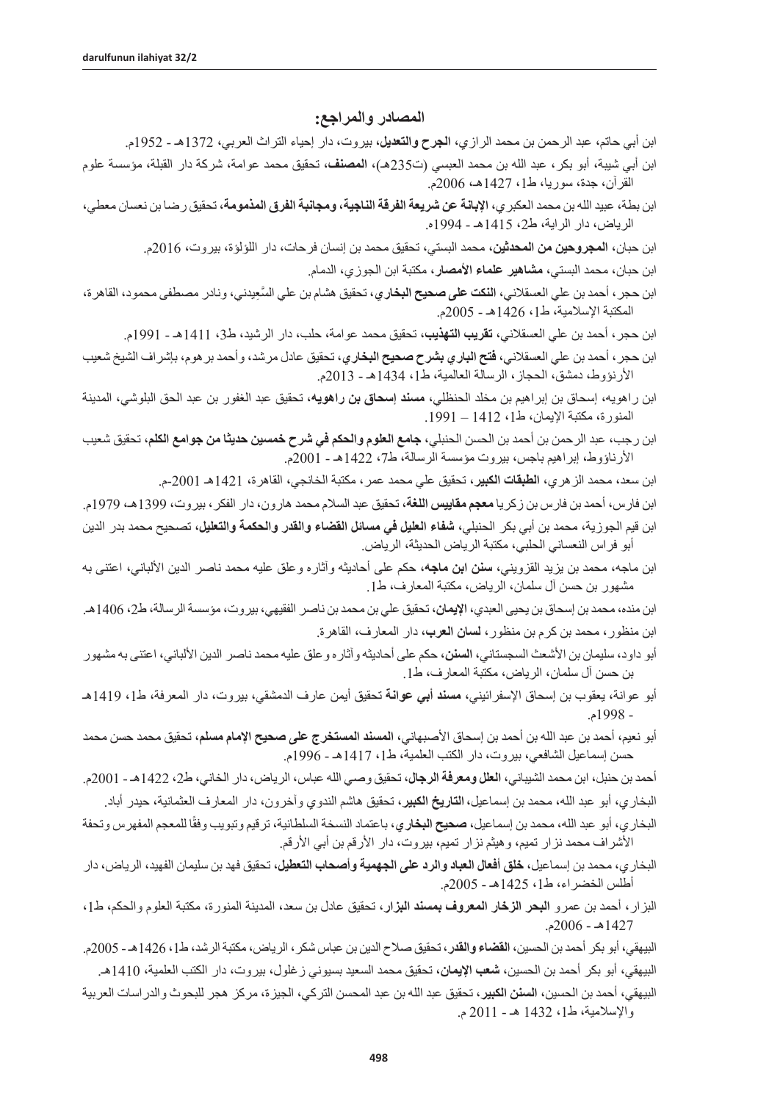#### **المصادر والمراجع:**

- ابن أبي حاتم، عبد الرحمن بن محمد الرازي، **الجرح والتعديل،** بيروت، دار إحياء التراث العربي، 1372هـ 1952م.
- ابن أبي شيبة، أبو بكر، عبد الله بن محمد العبسي )ت235هـ(، **المصنف،** تحقيق محمد عوامة، شركة دار القبلة، مؤسسة علوم القرآن، جدة، سوريا، ط،1 1427هـ، 2006م.
- ابن بطة، عبيد الله بن محمد العكبري، **اإلبانة عن شريعة الفرقة الناجية، ومجانبة الفرق المذمومة،** تحقيق رضا بن نعسان معطي، الرياض، دار الراية، ط،2 1415هـ - 1994ه.
	- ابن حبان، **المجروحين من المحدثين،** محمد البستي، تحقيق محمد بن إنسان فرحات، دار اللؤلؤة، بيروت، 2016م.
		- ابن حبان، محمد البستي، **مشاهير علماء األمصار،** مكتبة ابن الجوزي، الدمام.
- ابن حجر، أحمد بن علي العسقالني، **النكت على صحيح البخاري** َّ ، تحقيق هشام بن علي السِعيدني، ونادر مصطفى محمود، القاهرة، المكتبة اإلسالمية، ط،1 1426هـ - 2005م.
	- ابن حجر، أحمد بن علي العسقالني، **تقريب التهذيب،** تحقيق محمد عوامة، حلب، دار الرشيد، ط،3 1411هـ 1991م.
- ابن حجر، أحمد بن علي العسقالني، **فتح الباري بشرح صحيح البخاري،** تحقيق عادل مرشد، وأحمد برهوم، بإشراف الشيخ شعيب األرنؤوط، دمشق، الحجاز، الرسالة العالمية، ط،1 1434هـ - 2013م.
- ابن راهويه، إسحاق بن إبراهيم بن مخلد الحنظلي، **مسند إسحاق بن راهويه**، تحقيق عبد الغفور بن عبد الحق البلوشي، المدينة المنورة، مكتبة اإليمان، ط،1 1412 – .1991
- ابن رجب، عبد الرحمن بن أحمد بن الحسن الحنبلي**، جامع العلوم والحكم في شرح خمسين حديثا من جوامع الكلم**، تحقيق شعيب الأرناؤوط، إبراهيم باجس، بيروت مؤسسة الرسالة، ط7، 1422هـ - 2001م.
	- ابن سعد، محمد الزهري، **الطبقات الكبير،** تحقيق علي محمد عمر، مكتبة الخانجي، القاهرة، 1421هـ -2001م.
- ابن فارس، أحمد بن فارس بن زكريا **معجم مقاييس اللغة**، تحقيق عبد السالم محمد هارون، دار الفكر، بيروت، 1399هـ، 1979م. ابن قيم الجوزية، محمد بن أبي بكر الحنبلي، **شفاء العليل في مسائل القضاء والقدر والحكمة والتعليل**، تصحيح محمد بدر الدين أبو فراس النعساني الحلبي، مكتبة الرياض الحديثة، الرياض.
- ابن ماجه، محمد بن يزيد القزويني، **سنن ابن ماجه**، حكم على أحاديثه وآثاره وعلق عليه محمد ناصر الدين األلباني، اعتنى به مشهور بن حسن آل سلمان، الرياض، مكتبة المعارف، ط.1
- ابن منده، محمد بن إسحاق بن يحيى العبدي، الإ**يمان**، تحقيق علي بن محمد بن ناصر الفقيهي، بيروت، مؤسسة الرسالة، ط2، 1406هـ. ابن منظور، محمد بن كرم بن منظور، **لسان العرب**، دار المعارف، القاهرة.
- أبو داود، سليمان بن األشعث السجستاني، **السنن،** حكم على أحاديثه وآثاره وعلق عليه محمد ناصر الدين األلباني، اعتنى به مشهور بن حسن آل سلمان، الرياض، مكتبة المعارف، ط.1
- أبو عوانة، يعقوب بن إسحاق اإلسفرائيني، **مسند أبي عوانة** تحقيق أيمن عارف الدمشقي، بيروت، دار المعرفة، ط،1 1419هـ - 1998م.
- أبو نعيم، أحمد بن عبد الله بن أحمد بن إسحاق األصبهاني، **المسند المستخرج على صحيح اإلمام مسلم،** تحقيق محمد حسن محمد حسن إسماعيل الشافعي، بيروت، دار الكتب العلمية، ط،1 1417هـ - 1996م.
- أحمد بن حنبل، ابن محمد الشيباني، **العلل ومعرفة الرجال،** تحقيق وصي الله عباس، الرياض، دار الخاني، ط،2 1422هـ 2001م. البخاري، أبو عبد الله، محمد بن إسماعيل،**التاريخ الكبير**، تحقيق هاشم الندوي وآخرون، دار المعارف العثمانية، حيدر أباد.
- البخاري، أبو عبد الله، محمد بن إسماعيل، **صحيح البخاري**، باعتماد النسخة السلطانية، ترقيم وتبويب وفقًا للمعجم المفهرس وتحفة الأشراف محمد نزار تميم، وهيثم نزار تميم، بيروت، دار الأرقم بن أبي الأرقم.
- البخاري، محمد بن إسماعيل، **خلق أفعال العباد والرد على الجهمية وأصحاب التعطيل**، تحقيق فهد بن سليمان الفهيد، الرياض، دار أطلس الخضراء، ط،1 1425هـ - 2005م.
- البزار، أحمد بن عمرو **البحر الزخار المعروف بمسند البزار**، تحقيق عادل بن سعد، المدينة المنورة، مكتبة العلوم والحكم، ط،1 1427هـ - 2006م.
- البيهقي، أبو بكر أحمد بن الحسين، **القضاء والقدر،** تحقيق صالح الدين بن عباس شكر، الرياض، مكتبة الرشد، ط،1 1426هـ 2005م. البيهقي، أبو بكر أحمد بن الحسين، **شعب اإليمان**، تحقيق محمد السعيد بسيوني زغلول، بيروت، دار الكتب العلمية، 1410هـ.
- البيهقي، أحمد بن الحسين، **السنن الكبير،** تحقيق عبد الله بن عبد المحسن التركي، الجيزة، مركز هجر للبحوث والدراسات العربية واإلسالمية، ط،1 1432 هـ - 2011 م.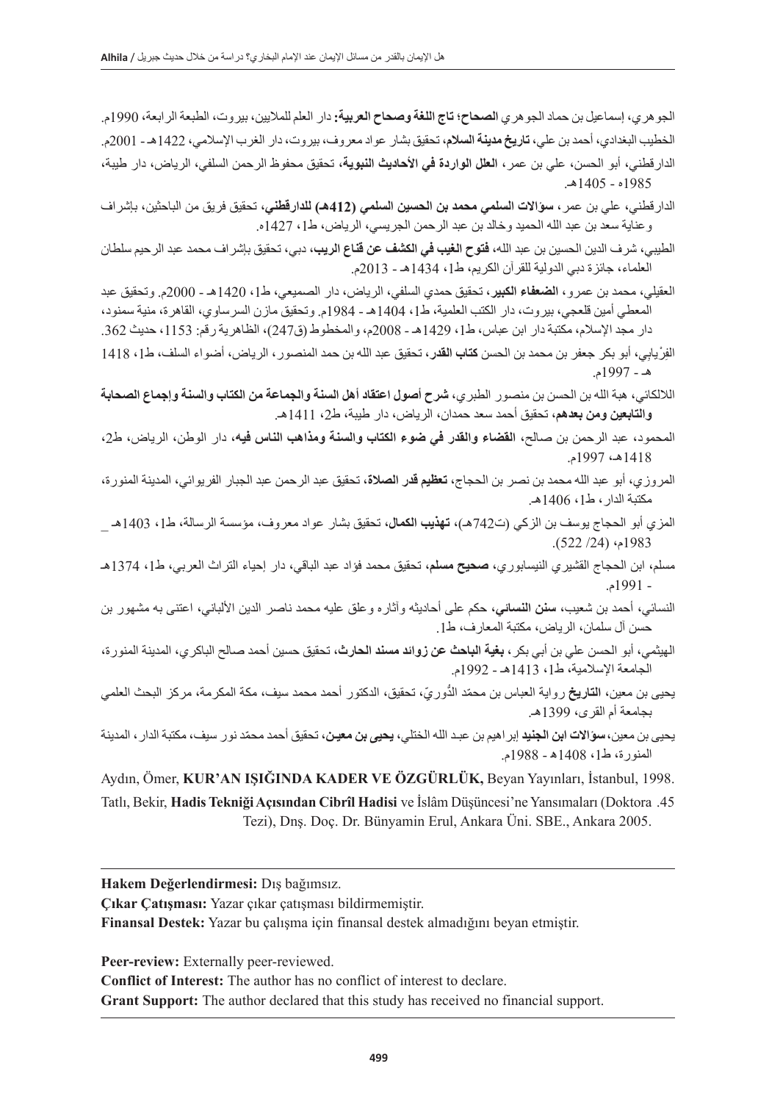الجوهري، **إ**سماعيل بن حماد الجوهري **الصحاح؛ تاج اللغة وصحاح العربية:** دار العلم للماليين، بيروت، الطبعة الرابعة، 1990م. الخطيب البغدادي، أحمد بن علي، **تاريخ مدينة السالم،** تحقيق بشار عواد معروف، بيروت، دار الغرب اإلسالمي، 1422هـ - 2001م. الدارقطني، أبو الحسن، علي بن عمر، **العلل الواردة في األحاديث النبوية،** تحقيق محفوظ الرحمن السلفي، الرياض، دار طيبة، 1985ه - 1405هـ.

- الدارقطني، علي بن عمر، **سؤاالت السلمي محمد بن الحسين السلمي )412هـ( للدارقطني،** تحقيق فريق من الباحثين، بإشراف وعناية سعد بن عبد الله الحميد وخالد بن عبد الرحمن الجريسي، الرياض، ط،1 1427ه.
- الطيبي، شرف الدين الحسين بن عبد الله، **فتوح الغيب في الكشف عن قناع الريب**، دبي، تحقيق بإشراف محمد عبد الرحيم سلطان العلماء، جائزة دبي الدولية للقرآن الكريم، ط،1 1434هـ - 2013م.
- العقيلي، محمد بن عمرو، **الضعفاء الكبير،** تحقيق حمدي السلفي، الرياض، دار الصميعي، ط،1 1420هـ 2000م. وتحقيق عبد المعطي أمين قلعجي، بيروت، دار الكتب العلمية، ط،1 1404هـ - 1984م. وتحقيق مازن السرساوي، القاهرة، منية سمنود، دار مجد الإسلام، مكتبة دار ابن عباس، ط1، 1429هـ - 2008م، والمخطوط (ق247)، الظاهرية رقم: 1153، حديث 362.
- الفِرْيابِي، أبو بكر جعفر بن محمد بن الحسن **كتاب القدر،** تحقيق عبد الله بن حمد المنصور ، الرياض، أضواء السلف، ط1، 1418 هـ - 1997م.
- الاللكائي، هبة الله بن الحسن بن منصور الطبري، **شرح أصول اعتقاد أهل السنة والجماعة من الكتاب والسنة وإجماع الصحابة والتابعين ومن بعدهم،** تحقيق أحمد سعد حمدان، الرياض، دار طيبة، ط2، 1411هـ.
- المحمود، عبد الرحمن بن صالح، **القضاء والقدر في ضوء الكتاب والسنة ومذاهب الناس فيه،** دار الوطن، الرياض، ط،2 1418هـ، 1997م.
- المروزي، أبو عبد الله محمد بن نصر بن الحجاج، **تعظيم قدر الصالة،** تحقيق عبد الرحمن عبد الجبار الفريوائي، المدينة المنورة، مكتبة الدار، ط،1 1406هـ.
- المزي أبو الحجاج يوسف بن الزكي )ت742هـ(، **تهذيب الكمال**، تحقيق بشار عواد معروف، مؤسسة الرسالة، ط،1 1403هـ \_ 1983م، )/24 522(.
- مسلم، ابن الحجاج القشيري النيسابوري، **صحيح مسلم،** تحقيق محمد فؤاد عبد الباقي، دار إحياء التراث العربي، ط،1 1374هـ - 1991م.
- النسائي، أحمد بن شعيب، **سنن النسائي**، حكم على أحاديثه وآثاره وعلق عليه محمد ناصر الدين األلباني، اعتنى به مشهور بن حسن آل سلمان، الرياض، مكتبة المعارف، ط.1
- الهيثمي، أبو الحسن علي بن أبي بكر**، بغية الباحث عن زوائد مسند الحارث**، تحقيق حسين أحمد صالح الباكري، المدينة المنورة، الجامعة اإلسالمية، ط،1 1413هـ - 1992م.
- يحيى بن معين، ا**لتاريخ** رواية العباس بن محمّد الدُّوريّ، تحقيق، الدكتور أحمد محمد سيف، مكة المكرمة، مركز البحث العلمي بجامعة أم القرى، 1399هـ.
- يحيى بن معين،**سؤاالت ابن الجنيد** إبراهيم بن عبـد الله الختلي، **يحيى بن معيـن،** ّ تحقيق أحمد محمد نور سيف، مكتبة الدار، المدينة المنورة، ط،1 1408ه - 1988م.

Aydın, Ömer, **KUR'AN IŞIĞINDA KADER VE ÖZGÜRLÜK,** Beyan Yayınları, İstanbul, 1998. Tatlı, Bekir, **Hadis Tekniği Açısından Cibrîl Hadisi** ve İslâm Düşüncesi'ne Yansımaları (Doktora .45

Tezi), Dnş. Doç. Dr. Bünyamin Erul, Ankara Üni. SBE., Ankara 2005.

**Hakem Değerlendirmesi:** Dış bağımsız.

**Çıkar Çatışması:** Yazar çıkar çatışması bildirmemiştir.

**Finansal Destek:** Yazar bu çalışma için finansal destek almadığını beyan etmiştir.

**Peer-review:** Externally peer-reviewed.

**Conflict of Interest:** The author has no conflict of interest to declare.

**Grant Support:** The author declared that this study has received no financial support.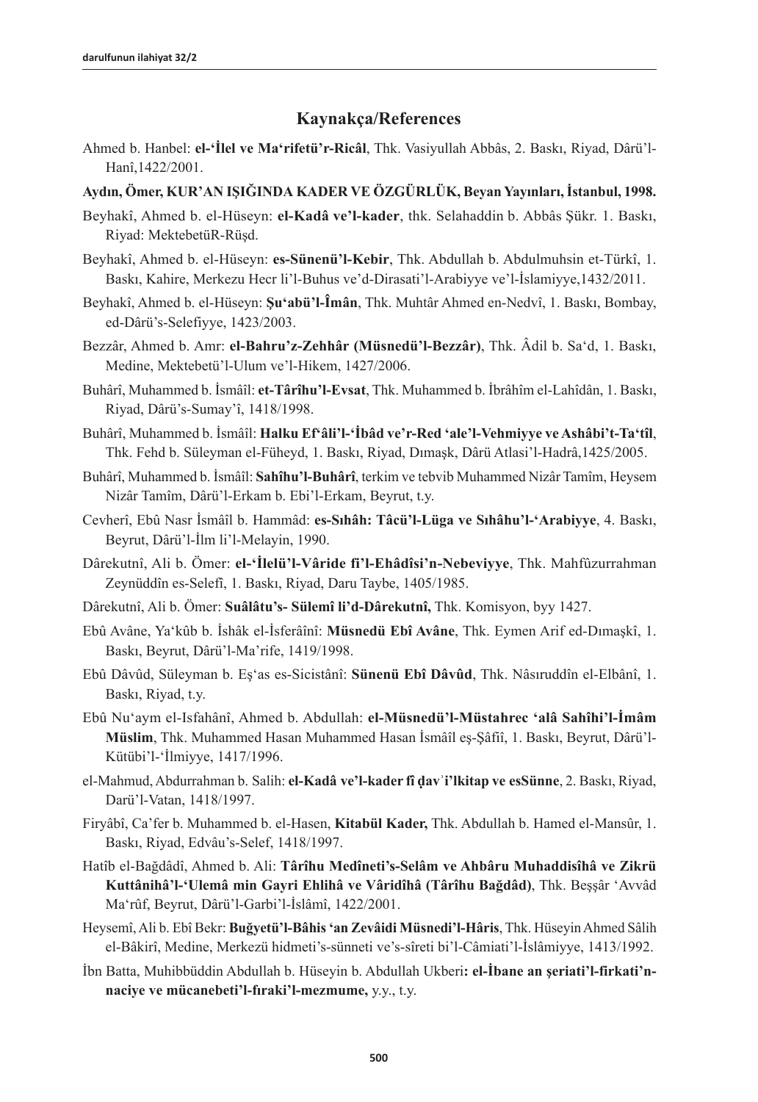### **Kaynakça/References**

Ahmed b. Hanbel: **el-'İlel ve Ma'rifetü'r-Ricâl**, Thk. Vasiyullah Abbâs, 2. Baskı, Riyad, Dârü'l-Hanî,1422/2001.

### **Aydın, Ömer, KUR'AN IŞIĞINDA KADER VE ÖZGÜRLÜK, Beyan Yayınları, İstanbul, 1998.**

- Beyhakî, Ahmed b. el-Hüseyn: **el-Kadâ ve'l-kader**, thk. Selahaddin b. Abbâs Şükr. 1. Baskı, Riyad: MektebetüR-Rüşd.
- Beyhakî, Ahmed b. el-Hüseyn: **es-Sünenü'l-Kebir**, Thk. Abdullah b. Abdulmuhsin et-Türkî, 1. Baskı, Kahire, Merkezu Hecr li'l-Buhus ve'd-Dirasati'l-Arabiyye ve'l-İslamiyye,1432/2011.
- Beyhakî, Ahmed b. el-Hüseyn: **Şu'abü'l-Îmân**, Thk. Muhtâr Ahmed en-Nedvî, 1. Baskı, Bombay, ed-Dârü's-Selefiyye, 1423/2003.
- Bezzâr, Ahmed b. Amr: **el-Bahru'z-Zehhâr (Müsnedü'l-Bezzâr)**, Thk. Âdil b. Sa'd, 1. Baskı, Medine, Mektebetü'l-Ulum ve'l-Hikem, 1427/2006.
- Buhârî, Muhammed b. İsmâîl: **et-Târîhu'l-Evsat**, Thk. Muhammed b. İbrâhîm el-Lahîdân, 1. Baskı, Riyad, Dârü's-Sumay'î, 1418/1998.
- Buhârî, Muhammed b. İsmâîl: **Halku Ef'âli'l-'İbâd ve'r-Red 'ale'l-Vehmiyye ve Ashâbi't-Ta'tîl**, Thk. Fehd b. Süleyman el-Füheyd, 1. Baskı, Riyad, Dımaşk, Dârü Atlasi'l-Hadrâ,1425/2005.
- Buhârî, Muhammed b. İsmâîl: **Sahîhu'l-Buhârî**, terkim ve tebvib Muhammed Nizâr Tamîm, Heysem Nizâr Tamîm, Dârü'l-Erkam b. Ebi'l-Erkam, Beyrut, t.y.
- Cevherî, Ebû Nasr İsmâîl b. Hammâd: **es-Sıhâh: Tâcü'l-Lüga ve Sıhâhu'l-'Arabiyye**, 4. Baskı, Beyrut, Dârü'l-İlm li'l-Melayin, 1990.
- Dârekutnî, Ali b. Ömer: **el-'İlelü'l-Vâride fi'l-Ehâdîsi'n-Nebeviyye**, Thk. Mahfûzurrahman Zeynüddîn es-Selefî, 1. Baskı, Riyad, Daru Taybe, 1405/1985.
- Dârekutnî, Ali b. Ömer: **Suâlâtu's- Sülemî li'd-Dârekutnî,** Thk. Komisyon, byy 1427.
- Ebû Avâne, Ya'kûb b. İshâk el-İsferâînî: **Müsnedü Ebî Avâne**, Thk. Eymen Arif ed-Dımaşkî, 1. Baskı, Beyrut, Dârü'l-Ma'rife, 1419/1998.
- Ebû Dâvûd, Süleyman b. Eş'as es-Sicistânî: **Sünenü Ebî Dâvûd**, Thk. Nâsıruddîn el-Elbânî, 1. Baskı, Riyad, t.y.
- Ebû Nu'aym el-Isfahânî, Ahmed b. Abdullah: **el-Müsnedü'l-Müstahrec 'alâ Sahîhi'l-İmâm Müslim**, Thk. Muhammed Hasan Muhammed Hasan İsmâîl eş-Şâfiî, 1. Baskı, Beyrut, Dârü'l-Kütübi'l-'İlmiyye, 1417/1996.
- el-Mahmud, Abdurrahman b. Salih: **el-Kadâ ve'l-kader fî ḍavʾi'lkitap ve esSünne**, 2. Baskı, Riyad, Darü'l-Vatan, 1418/1997.
- Firyâbî, Ca'fer b. Muhammed b. el-Hasen, **Kitabül Kader,** Thk. Abdullah b. Hamed el-Mansûr, 1. Baskı, Riyad, Edvâu's-Selef, 1418/1997.
- Hatîb el-Bağdâdî, Ahmed b. Ali: **Târîhu Medîneti's-Selâm ve Ahbâru Muhaddisîhâ ve Zikrü Kuttânihâ'l-'Ulemâ min Gayri Ehlihâ ve Vâridîhâ (Târîhu Bağdâd)**, Thk. Beşşâr 'Avvâd Ma'rûf, Beyrut, Dârü'l-Garbi'l-İslâmî, 1422/2001.
- Heysemî, Ali b. Ebî Bekr: **Buğyetü'l-Bâhis 'an Zevâidi Müsnedi'l-Hâris**, Thk. Hüseyin Ahmed Sâlih el-Bâkirî, Medine, Merkezü hidmeti's-sünneti ve's-sîreti bi'l-Câmiati'l-İslâmiyye, 1413/1992.
- İbn Batta, Muhibbüddin Abdullah b. Hüseyin b. Abdullah Ukberi**: el-İbane an şeriati'l-firkati'nnaciye ve mücanebeti'l-fıraki'l-mezmume,** y.y., t.y.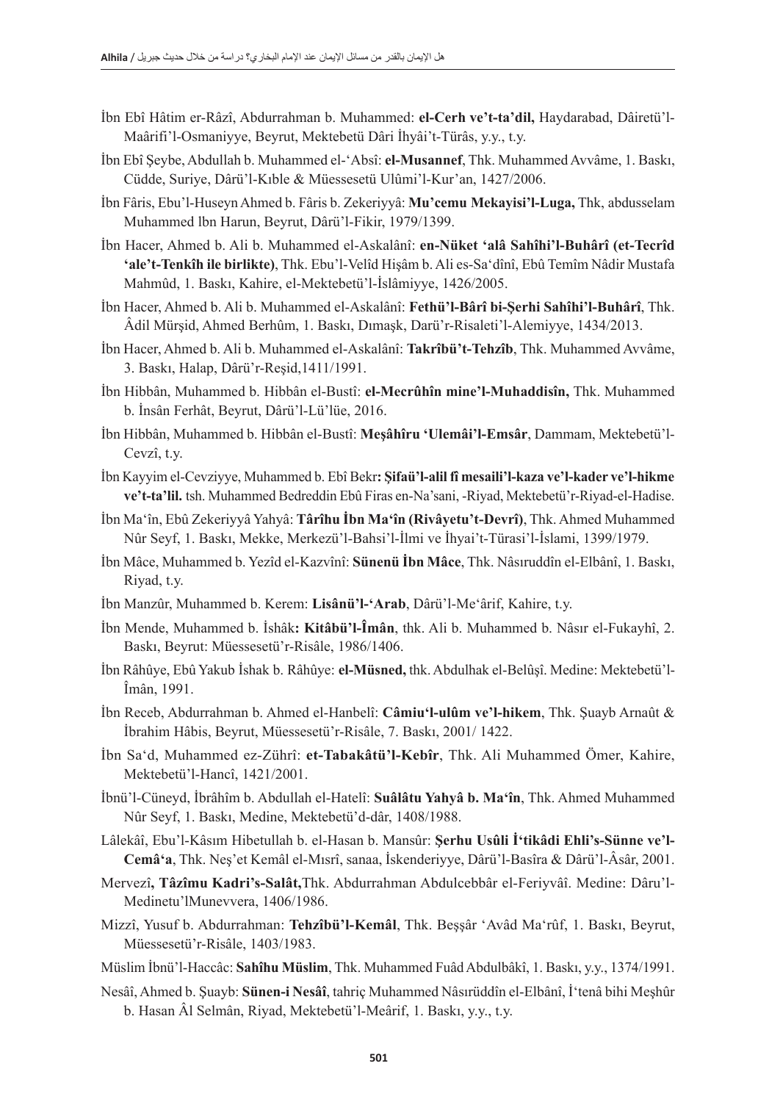- İbn Ebî Hâtim er-Râzî, Abdurrahman b. Muhammed: **el-Cerh ve't-ta'dil,** Haydarabad, Dâiretü'l-Maârifi'l-Osmaniyye, Beyrut, Mektebetü Dâri İhyâi't-Türâs, y.y., t.y.
- İbn Ebî Şeybe, Abdullah b. Muhammed el-'Absî: **el-Musannef**, Thk. Muhammed Avvâme, 1. Baskı, Cüdde, Suriye, Dârü'l-Kıble & Müessesetü Ulûmi'l-Kur'an, 1427/2006.
- İbn Fâris, Ebu'l-Huseyn Ahmed b. Fâris b. Zekeriyyâ: **Mu'cemu Mekayisi'l-Luga,** Thk, abdusselam Muhammed lbn Harun, Beyrut, Dârü'l-Fikir, 1979/1399.
- İbn Hacer, Ahmed b. Ali b. Muhammed el-Askalânî: **en-Nüket 'alâ Sahîhi'l-Buhârî (et-Tecrîd 'ale't-Tenkîh ile birlikte)**, Thk. Ebu'l-Velîd Hişâm b. Ali es-Sa'dînî, Ebû Temîm Nâdir Mustafa Mahmûd, 1. Baskı, Kahire, el-Mektebetü'l-İslâmiyye, 1426/2005.
- İbn Hacer, Ahmed b. Ali b. Muhammed el-Askalânî: **Fethü'l-Bârî bi-Şerhi Sahîhi'l-Buhârî**, Thk. Âdil Mürşid, Ahmed Berhûm, 1. Baskı, Dımaşk, Darü'r-Risaleti'l-Alemiyye, 1434/2013.
- İbn Hacer, Ahmed b. Ali b. Muhammed el-Askalânî: **Takrîbü't-Tehzîb**, Thk. Muhammed Avvâme, 3. Baskı, Halap, Dârü'r-Reşid,1411/1991.
- İbn Hibbân, Muhammed b. Hibbân el-Bustî: **el-Mecrûhîn mine'l-Muhaddisîn,** Thk. Muhammed b. İnsân Ferhât, Beyrut, Dârü'l-Lü'lüe, 2016.
- İbn Hibbân, Muhammed b. Hibbân el-Bustî: **Meşâhîru 'Ulemâi'l-Emsâr**, Dammam, Mektebetü'l-Cevzî, t.y.
- İbn Kayyim el-Cevziyye, Muhammed b. Ebî Bekr**: Şifaü'l-alil fî mesaili'l-kaza ve'l-kader ve'l-hikme ve't-ta'lil.** tsh. Muhammed Bedreddin Ebû Firas en-Na'sani, -Riyad, Mektebetü'r-Riyad-el-Hadise.
- İbn Ma'în, Ebû Zekeriyyâ Yahyâ: **Târîhu İbn Ma'în (Rivâyetu't-Devrî)**, Thk. Ahmed Muhammed Nûr Seyf, 1. Baskı, Mekke, Merkezü'l-Bahsi'l-İlmi ve İhyai't-Türasi'l-İslami, 1399/1979.
- İbn Mâce, Muhammed b. Yezîd el-Kazvînî: **Sünenü İbn Mâce**, Thk. Nâsıruddîn el-Elbânî, 1. Baskı, Riyad, t.y.
- İbn Manzûr, Muhammed b. Kerem: **Lisânü'l-'Arab**, Dârü'l-Me'ârif, Kahire, t.y.
- İbn Mende, Muhammed b. İshâk**: Kitâbü'l-Îmân**, thk. Ali b. Muhammed b. Nâsır el-Fukayhî, 2. Baskı, Beyrut: Müessesetü'r-Risâle, 1986/1406.
- İbn Râhûye, Ebû Yakub İshak b. Râhûye: **el-Müsned,** thk. Abdulhak el-Belûşî. Medine: Mektebetü'l-Îmân, 1991.
- İbn Receb, Abdurrahman b. Ahmed el-Hanbelî: **Câmiu'l-ulûm ve'l-hikem**, Thk. Şuayb Arnaût & İbrahim Hâbis, Beyrut, Müessesetü'r-Risâle, 7. Baskı, 2001/ 1422.
- İbn Sa'd, Muhammed ez-Zührî: **et-Tabakâtü'l-Kebîr**, Thk. Ali Muhammed Ömer, Kahire, Mektebetü'l-Hancî, 1421/2001.
- İbnü'l-Cüneyd, İbrâhîm b. Abdullah el-Hatelî: **Suâlâtu Yahyâ b. Ma'în**, Thk. Ahmed Muhammed Nûr Seyf, 1. Baskı, Medine, Mektebetü'd-dâr, 1408/1988.
- Lâlekâî, Ebu'l-Kâsım Hibetullah b. el-Hasan b. Mansûr: **Şerhu Usûli İ'tikâdi Ehli's-Sünne ve'l-Cemâ'a**, Thk. Neş'et Kemâl el-Mısrî, sanaa, İskenderiyye, Dârü'l-Basîra & Dârü'l-Âsâr, 2001.
- Mervezî**, Tâzîmu Kadri's-Salât,**Thk. Abdurrahman Abdulcebbâr el-Feriyvâî. Medine: Dâru'l-Medinetu'lMunevvera, 1406/1986.
- Mizzî, Yusuf b. Abdurrahman: **Tehzîbü'l-Kemâl**, Thk. Beşşâr 'Avâd Ma'rûf, 1. Baskı, Beyrut, Müessesetü'r-Risâle, 1403/1983.
- Müslim İbnü'l-Haccâc: **Sahîhu Müslim**, Thk. Muhammed Fuâd Abdulbâkî, 1. Baskı, y.y., 1374/1991.
- Nesâî, Ahmed b. Şuayb: **Sünen-i Nesâî**, tahriç Muhammed Nâsırüddîn el-Elbânî, İ'tenâ bihi Meşhûr b. Hasan Âl Selmân, Riyad, Mektebetü'l-Meârif, 1. Baskı, y.y., t.y.